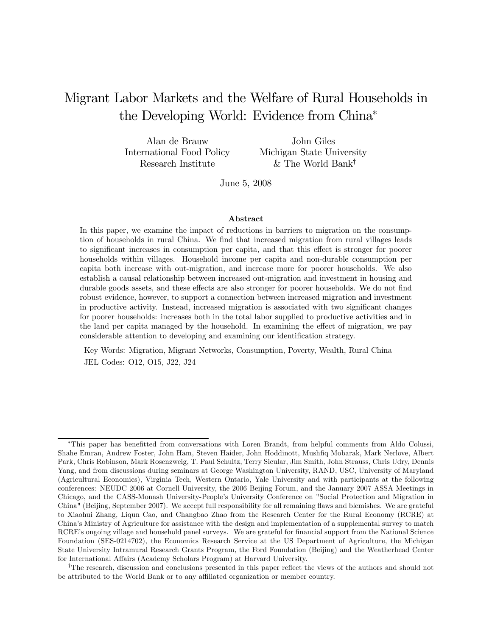## Migrant Labor Markets and the Welfare of Rural Households in the Developing World: Evidence from China<sup>∗</sup>

Alan de Brauw International Food Policy Research Institute

John Giles Michigan State University & The World Bank†

June 5, 2008

#### Abstract

In this paper, we examine the impact of reductions in barriers to migration on the consumption of households in rural China. We find that increased migration from rural villages leads to significant increases in consumption per capita, and that this effect is stronger for poorer households within villages. Household income per capita and non-durable consumption per capita both increase with out-migration, and increase more for poorer households. We also establish a causal relationship between increased out-migration and investment in housing and durable goods assets, and these effects are also stronger for poorer households. We do not find robust evidence, however, to support a connection between increased migration and investment in productive activity. Instead, increased migration is associated with two significant changes for poorer households: increases both in the total labor supplied to productive activities and in the land per capita managed by the household. In examining the effect of migration, we pay considerable attention to developing and examining our identification strategy.

Key Words: Migration, Migrant Networks, Consumption, Poverty, Wealth, Rural China JEL Codes: O12, O15, J22, J24

<sup>∗</sup>This paper has benefitted from conversations with Loren Brandt, from helpful comments from Aldo Colussi, Shahe Emran, Andrew Foster, John Ham, Steven Haider, John Hoddinott, Mushfiq Mobarak, Mark Nerlove, Albert Park, Chris Robinson, Mark Rosenzweig, T. Paul Schultz, Terry Sicular, Jim Smith, John Strauss, Chris Udry, Dennis Yang, and from discussions during seminars at George Washington University, RAND, USC, University of Maryland (Agricultural Economics), Virginia Tech, Western Ontario, Yale University and with participants at the following conferences: NEUDC 2006 at Cornell University, the 2006 Beijing Forum, and the January 2007 ASSA Meetings in Chicago, and the CASS-Monash University-People's University Conference on "Social Protection and Migration in China" (Beijing, September 2007). We accept full responsibility for all remaining flaws and blemishes. We are grateful to Xiaohui Zhang, Liqun Cao, and Changbao Zhao from the Research Center for the Rural Economy (RCRE) at China's Ministry of Agriculture for assistance with the design and implementation of a supplemental survey to match RCRE's ongoing village and household panel surveys. We are grateful for financial support from the National Science Foundation (SES-0214702), the Economics Research Service at the US Department of Agriculture, the Michigan State University Intramural Research Grants Program, the Ford Foundation (Beijing) and the Weatherhead Center for International Affairs (Academy Scholars Program) at Harvard University.

<sup>†</sup>The research, discussion and conclusions presented in this paper reflect the views of the authors and should not be attributed to the World Bank or to any affiliated organization or member country.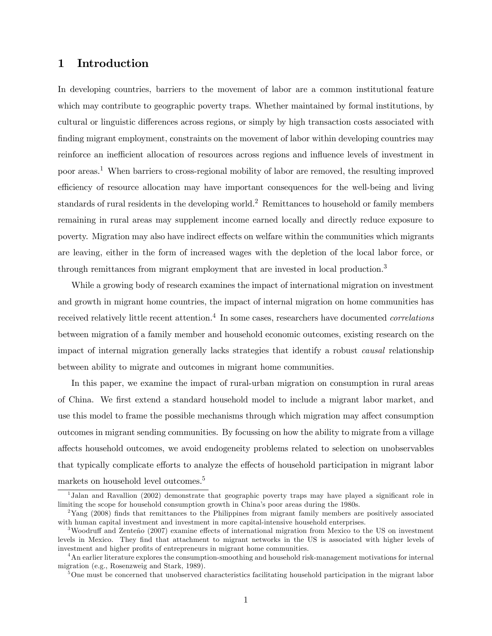## 1 Introduction

In developing countries, barriers to the movement of labor are a common institutional feature which may contribute to geographic poverty traps. Whether maintained by formal institutions, by cultural or linguistic differences across regions, or simply by high transaction costs associated with finding migrant employment, constraints on the movement of labor within developing countries may reinforce an inefficient allocation of resources across regions and influence levels of investment in poor areas.<sup>1</sup> When barriers to cross-regional mobility of labor are removed, the resulting improved efficiency of resource allocation may have important consequences for the well-being and living standards of rural residents in the developing world.<sup>2</sup> Remittances to household or family members remaining in rural areas may supplement income earned locally and directly reduce exposure to poverty. Migration may also have indirect effects on welfare within the communities which migrants are leaving, either in the form of increased wages with the depletion of the local labor force, or through remittances from migrant employment that are invested in local production.<sup>3</sup>

While a growing body of research examines the impact of international migration on investment and growth in migrant home countries, the impact of internal migration on home communities has received relatively little recent attention.<sup>4</sup> In some cases, researchers have documented *correlations* between migration of a family member and household economic outcomes, existing research on the impact of internal migration generally lacks strategies that identify a robust causal relationship between ability to migrate and outcomes in migrant home communities.

In this paper, we examine the impact of rural-urban migration on consumption in rural areas of China. We first extend a standard household model to include a migrant labor market, and use this model to frame the possible mechanisms through which migration may affect consumption outcomes in migrant sending communities. By focussing on how the ability to migrate from a village affects household outcomes, we avoid endogeneity problems related to selection on unobservables that typically complicate efforts to analyze the effects of household participation in migrant labor markets on household level outcomes.<sup>5</sup>

<sup>&</sup>lt;sup>1</sup>Jalan and Ravallion (2002) demonstrate that geographic poverty traps may have played a significant role in limiting the scope for household consumption growth in China's poor areas during the 1980s.

<sup>&</sup>lt;sup>2</sup>Yang (2008) finds that remittances to the Philippines from migrant family members are positively associated with human capital investment and investment in more capital-intensive household enterprises.

<sup>3</sup>Woodruff and Zenteño (2007) examine effects of international migration from Mexico to the US on investment levels in Mexico. They find that attachment to migrant networks in the US is associated with higher levels of investment and higher profits of entrepreneurs in migrant home communities.

<sup>&</sup>lt;sup>4</sup>An earlier literature explores the consumption-smoothing and household risk-management motivations for internal migration (e.g., Rosenzweig and Stark, 1989).

<sup>&</sup>lt;sup>5</sup>One must be concerned that unobserved characteristics facilitating household participation in the migrant labor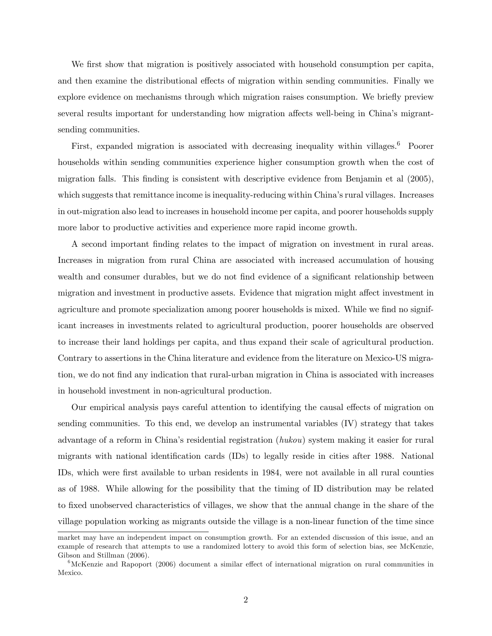We first show that migration is positively associated with household consumption per capita, and then examine the distributional effects of migration within sending communities. Finally we explore evidence on mechanisms through which migration raises consumption. We briefly preview several results important for understanding how migration affects well-being in China's migrantsending communities.

First, expanded migration is associated with decreasing inequality within villages.<sup>6</sup> Poorer households within sending communities experience higher consumption growth when the cost of migration falls. This finding is consistent with descriptive evidence from Benjamin et al (2005), which suggests that remittance income is inequality-reducing within China's rural villages. Increases in out-migration also lead to increases in household income per capita, and poorer households supply more labor to productive activities and experience more rapid income growth.

A second important finding relates to the impact of migration on investment in rural areas. Increases in migration from rural China are associated with increased accumulation of housing wealth and consumer durables, but we do not find evidence of a significant relationship between migration and investment in productive assets. Evidence that migration might affect investment in agriculture and promote specialization among poorer households is mixed. While we find no significant increases in investments related to agricultural production, poorer households are observed to increase their land holdings per capita, and thus expand their scale of agricultural production. Contrary to assertions in the China literature and evidence from the literature on Mexico-US migration, we do not find any indication that rural-urban migration in China is associated with increases in household investment in non-agricultural production.

Our empirical analysis pays careful attention to identifying the causal effects of migration on sending communities. To this end, we develop an instrumental variables (IV) strategy that takes advantage of a reform in China's residential registration (hukou) system making it easier for rural migrants with national identification cards (IDs) to legally reside in cities after 1988. National IDs, which were first available to urban residents in 1984, were not available in all rural counties as of 1988. While allowing for the possibility that the timing of ID distribution may be related to fixed unobserved characteristics of villages, we show that the annual change in the share of the village population working as migrants outside the village is a non-linear function of the time since

market may have an independent impact on consumption growth. For an extended discussion of this issue, and an example of research that attempts to use a randomized lottery to avoid this form of selection bias, see McKenzie, Gibson and Stillman (2006).

 $6$ McKenzie and Rapoport (2006) document a similar effect of international migration on rural communities in Mexico.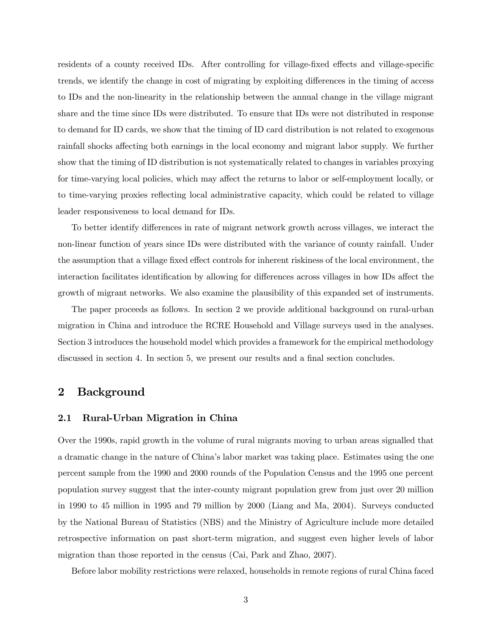residents of a county received IDs. After controlling for village-fixed effects and village-specific trends, we identify the change in cost of migrating by exploiting differences in the timing of access to IDs and the non-linearity in the relationship between the annual change in the village migrant share and the time since IDs were distributed. To ensure that IDs were not distributed in response to demand for ID cards, we show that the timing of ID card distribution is not related to exogenous rainfall shocks affecting both earnings in the local economy and migrant labor supply. We further show that the timing of ID distribution is not systematically related to changes in variables proxying for time-varying local policies, which may affect the returns to labor or self-employment locally, or to time-varying proxies reflecting local administrative capacity, which could be related to village leader responsiveness to local demand for IDs.

To better identify differences in rate of migrant network growth across villages, we interact the non-linear function of years since IDs were distributed with the variance of county rainfall. Under the assumption that a village fixed effect controls for inherent riskiness of the local environment, the interaction facilitates identification by allowing for differences across villages in how IDs affect the growth of migrant networks. We also examine the plausibility of this expanded set of instruments.

The paper proceeds as follows. In section 2 we provide additional background on rural-urban migration in China and introduce the RCRE Household and Village surveys used in the analyses. Section 3 introduces the household model which provides a framework for the empirical methodology discussed in section 4. In section 5, we present our results and a final section concludes.

## 2 Background

#### 2.1 Rural-Urban Migration in China

Over the 1990s, rapid growth in the volume of rural migrants moving to urban areas signalled that a dramatic change in the nature of China's labor market was taking place. Estimates using the one percent sample from the 1990 and 2000 rounds of the Population Census and the 1995 one percent population survey suggest that the inter-county migrant population grew from just over 20 million in 1990 to 45 million in 1995 and 79 million by 2000 (Liang and Ma, 2004). Surveys conducted by the National Bureau of Statistics (NBS) and the Ministry of Agriculture include more detailed retrospective information on past short-term migration, and suggest even higher levels of labor migration than those reported in the census (Cai, Park and Zhao, 2007).

Before labor mobility restrictions were relaxed, households in remote regions of rural China faced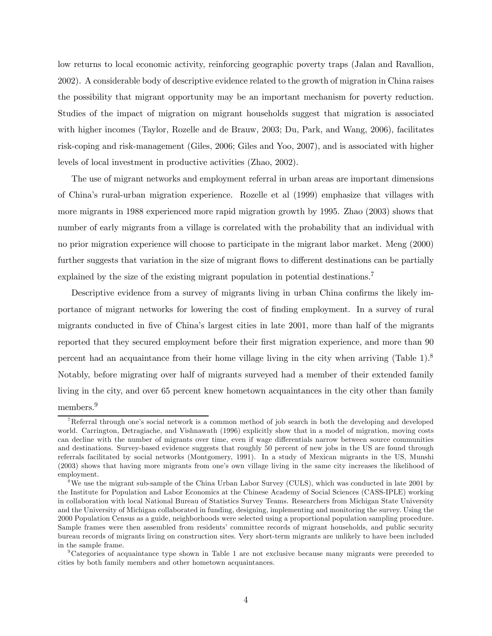low returns to local economic activity, reinforcing geographic poverty traps (Jalan and Ravallion, 2002). A considerable body of descriptive evidence related to the growth of migration in China raises the possibility that migrant opportunity may be an important mechanism for poverty reduction. Studies of the impact of migration on migrant households suggest that migration is associated with higher incomes (Taylor, Rozelle and de Brauw, 2003; Du, Park, and Wang, 2006), facilitates risk-coping and risk-management (Giles, 2006; Giles and Yoo, 2007), and is associated with higher levels of local investment in productive activities (Zhao, 2002).

The use of migrant networks and employment referral in urban areas are important dimensions of China's rural-urban migration experience. Rozelle et al (1999) emphasize that villages with more migrants in 1988 experienced more rapid migration growth by 1995. Zhao (2003) shows that number of early migrants from a village is correlated with the probability that an individual with no prior migration experience will choose to participate in the migrant labor market. Meng (2000) further suggests that variation in the size of migrant flows to different destinations can be partially explained by the size of the existing migrant population in potential destinations.<sup>7</sup>

Descriptive evidence from a survey of migrants living in urban China confirms the likely importance of migrant networks for lowering the cost of finding employment. In a survey of rural migrants conducted in five of China's largest cities in late 2001, more than half of the migrants reported that they secured employment before their first migration experience, and more than 90 percent had an acquaintance from their home village living in the city when arriving (Table 1).8 Notably, before migrating over half of migrants surveyed had a member of their extended family living in the city, and over 65 percent knew hometown acquaintances in the city other than family members.<sup>9</sup>

<sup>&</sup>lt;sup>7</sup>Referral through one's social network is a common method of job search in both the developing and developed world. Carrington, Detragiache, and Vishnawath (1996) explicitly show that in a model of migration, moving costs can decline with the number of migrants over time, even if wage differentials narrow between source communities and destinations. Survey-based evidence suggests that roughly 50 percent of new jobs in the US are found through referrals facilitated by social networks (Montgomery, 1991). In a study of Mexican migrants in the US, Munshi (2003) shows that having more migrants from one's own village living in the same city increases the likelihood of employment.

<sup>&</sup>lt;sup>8</sup>We use the migrant sub-sample of the China Urban Labor Survey (CULS), which was conducted in late 2001 by the Institute for Population and Labor Economics at the Chinese Academy of Social Sciences (CASS-IPLE) working in collaboration with local National Bureau of Statistics Survey Teams. Researchers from Michigan State University and the University of Michigan collaborated in funding, designing, implementing and monitoring the survey. Using the 2000 Population Census as a guide, neighborhoods were selected using a proportional population sampling procedure. Sample frames were then assembled from residents' committee records of migrant households, and public security bureau records of migrants living on construction sites. Very short-term migrants are unlikely to have been included in the sample frame.

<sup>9</sup>Categories of acquaintance type shown in Table 1 are not exclusive because many migrants were preceded to cities by both family members and other hometown acquaintances.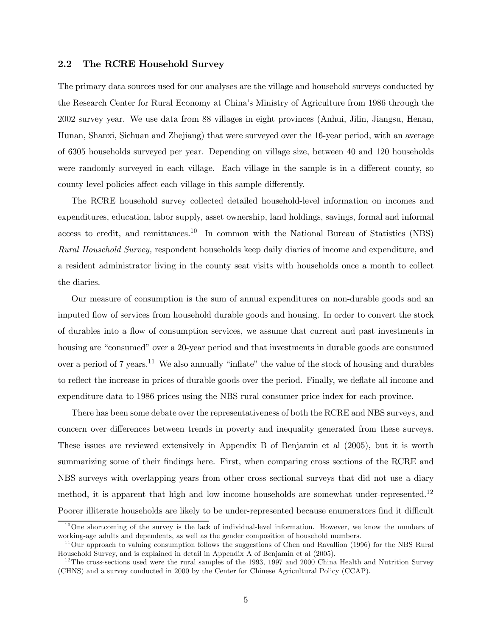#### 2.2 The RCRE Household Survey

The primary data sources used for our analyses are the village and household surveys conducted by the Research Center for Rural Economy at China's Ministry of Agriculture from 1986 through the 2002 survey year. We use data from 88 villages in eight provinces (Anhui, Jilin, Jiangsu, Henan, Hunan, Shanxi, Sichuan and Zhejiang) that were surveyed over the 16-year period, with an average of 6305 households surveyed per year. Depending on village size, between 40 and 120 households were randomly surveyed in each village. Each village in the sample is in a different county, so county level policies affect each village in this sample differently.

The RCRE household survey collected detailed household-level information on incomes and expenditures, education, labor supply, asset ownership, land holdings, savings, formal and informal access to credit, and remittances.<sup>10</sup> In common with the National Bureau of Statistics (NBS) Rural Household Survey, respondent households keep daily diaries of income and expenditure, and a resident administrator living in the county seat visits with households once a month to collect the diaries.

Our measure of consumption is the sum of annual expenditures on non-durable goods and an imputed flow of services from household durable goods and housing. In order to convert the stock of durables into a flow of consumption services, we assume that current and past investments in housing are "consumed" over a 20-year period and that investments in durable goods are consumed over a period of 7 years.<sup>11</sup> We also annually "inflate" the value of the stock of housing and durables to reflect the increase in prices of durable goods over the period. Finally, we deflate all income and expenditure data to 1986 prices using the NBS rural consumer price index for each province.

There has been some debate over the representativeness of both the RCRE and NBS surveys, and concern over differences between trends in poverty and inequality generated from these surveys. These issues are reviewed extensively in Appendix B of Benjamin et al (2005), but it is worth summarizing some of their findings here. First, when comparing cross sections of the RCRE and NBS surveys with overlapping years from other cross sectional surveys that did not use a diary method, it is apparent that high and low income households are somewhat under-represented.<sup>12</sup> Poorer illiterate households are likely to be under-represented because enumerators find it difficult

 $10$ One shortcoming of the survey is the lack of individual-level information. However, we know the numbers of working-age adults and dependents, as well as the gender composition of household members.

 $11$ Our approach to valuing consumption follows the suggestions of Chen and Ravallion (1996) for the NBS Rural Household Survey, and is explained in detail in Appendix A of Benjamin et al (2005).

 $12$ The cross-sections used were the rural samples of the 1993, 1997 and 2000 China Health and Nutrition Survey (CHNS) and a survey conducted in 2000 by the Center for Chinese Agricultural Policy (CCAP).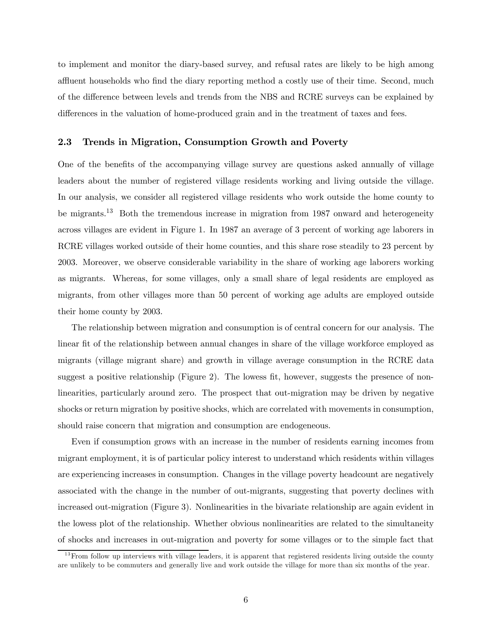to implement and monitor the diary-based survey, and refusal rates are likely to be high among affluent households who find the diary reporting method a costly use of their time. Second, much of the difference between levels and trends from the NBS and RCRE surveys can be explained by differences in the valuation of home-produced grain and in the treatment of taxes and fees.

### 2.3 Trends in Migration, Consumption Growth and Poverty

One of the benefits of the accompanying village survey are questions asked annually of village leaders about the number of registered village residents working and living outside the village. In our analysis, we consider all registered village residents who work outside the home county to be migrants.13 Both the tremendous increase in migration from 1987 onward and heterogeneity across villages are evident in Figure 1. In 1987 an average of 3 percent of working age laborers in RCRE villages worked outside of their home counties, and this share rose steadily to 23 percent by 2003. Moreover, we observe considerable variability in the share of working age laborers working as migrants. Whereas, for some villages, only a small share of legal residents are employed as migrants, from other villages more than 50 percent of working age adults are employed outside their home county by 2003.

The relationship between migration and consumption is of central concern for our analysis. The linear fit of the relationship between annual changes in share of the village workforce employed as migrants (village migrant share) and growth in village average consumption in the RCRE data suggest a positive relationship (Figure 2). The lowess fit, however, suggests the presence of nonlinearities, particularly around zero. The prospect that out-migration may be driven by negative shocks or return migration by positive shocks, which are correlated with movements in consumption, should raise concern that migration and consumption are endogeneous.

Even if consumption grows with an increase in the number of residents earning incomes from migrant employment, it is of particular policy interest to understand which residents within villages are experiencing increases in consumption. Changes in the village poverty headcount are negatively associated with the change in the number of out-migrants, suggesting that poverty declines with increased out-migration (Figure 3). Nonlinearities in the bivariate relationship are again evident in the lowess plot of the relationship. Whether obvious nonlinearities are related to the simultaneity of shocks and increases in out-migration and poverty for some villages or to the simple fact that

 $13$  From follow up interviews with village leaders, it is apparent that registered residents living outside the county are unlikely to be commuters and generally live and work outside the village for more than six months of the year.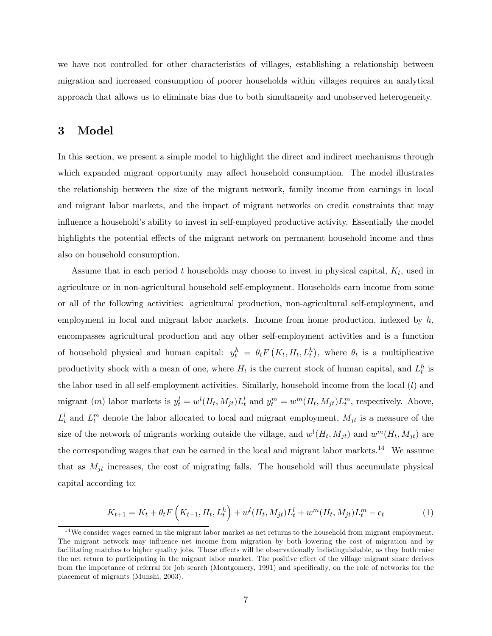we have not controlled for other characteristics of villages, establishing a relationship between migration and increased consumption of poorer households within villages requires an analytical approach that allows us to eliminate bias due to both simultaneity and unobserved heterogeneity.

## 3 Model

In this section, we present a simple model to highlight the direct and indirect mechanisms through which expanded migrant opportunity may affect household consumption. The model illustrates the relationship between the size of the migrant network, family income from earnings in local and migrant labor markets, and the impact of migrant networks on credit constraints that may influence a household's ability to invest in self-employed productive activity. Essentially the model highlights the potential effects of the migrant network on permanent household income and thus also on household consumption.

Assume that in each period t households may choose to invest in physical capital,  $K_t$ , used in agriculture or in non-agricultural household self-employment. Households earn income from some or all of the following activities: agricultural production, non-agricultural self-employment, and employment in local and migrant labor markets. Income from home production, indexed by  $h$ , encompasses agricultural production and any other self-employment activities and is a function of household physical and human capital:  $y_t^h = \theta_t F\left(K_t, H_t, L_t^h\right)$ , where  $\theta_t$  is a multiplicative productivity shock with a mean of one, where  $H_t$  is the current stock of human capital, and  $L_t^h$  is the labor used in all self-employment activities. Similarly, household income from the local  $(l)$  and migrant (*m*) labor markets is  $y_t^l = w^l(H_t, M_{jt}) L_t^l$  and  $y_t^m = w^m(H_t, M_{jt}) L_t^m$ , respectively. Above,  $L_t^l$  and  $L_t^m$  denote the labor allocated to local and migrant employment,  $M_{jt}$  is a measure of the size of the network of migrants working outside the village, and  $w^{l}(H_t, M_{jt})$  and  $w^{m}(H_t, M_{jt})$  are the corresponding wages that can be earned in the local and migrant labor markets.<sup>14</sup> We assume that as  $M_{jt}$  increases, the cost of migrating falls. The household will thus accumulate physical capital according to:

$$
K_{t+1} = K_t + \theta_t F\left(K_{t-1}, H_t, L_t^h\right) + w^l(H_t, M_{jt}) L_t^l + w^m(H_t, M_{jt}) L_t^m - c_t \tag{1}
$$

 $14$ We consider wages earned in the migrant labor market as net returns to the household from migrant employment. The migrant network may influence net income from migration by both lowering the cost of migration and by facilitating matches to higher quality jobs. These effects will be observationally indistinguishable, as they both raise the net return to participating in the migrant labor market. The positive effect of the village migrant share derives from the importance of referral for job search (Montgomery, 1991) and specifically, on the role of networks for the placement of migrants (Munshi, 2003).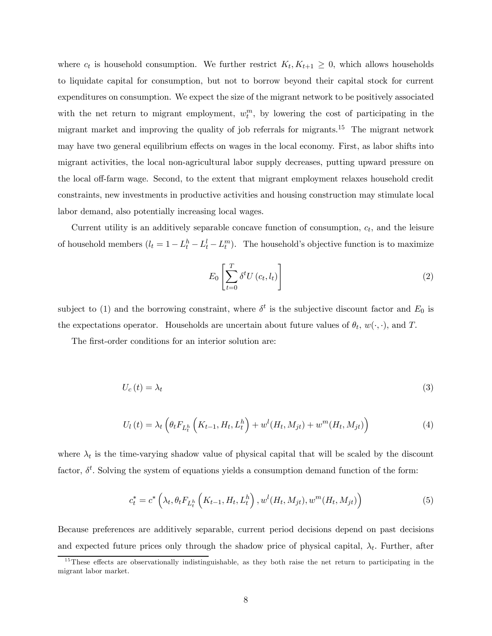where  $c_t$  is household consumption. We further restrict  $K_t, K_{t+1} \geq 0$ , which allows households to liquidate capital for consumption, but not to borrow beyond their capital stock for current expenditures on consumption. We expect the size of the migrant network to be positively associated with the net return to migrant employment,  $w_t^m$ , by lowering the cost of participating in the migrant market and improving the quality of job referrals for migrants.<sup>15</sup> The migrant network may have two general equilibrium effects on wages in the local economy. First, as labor shifts into migrant activities, the local non-agricultural labor supply decreases, putting upward pressure on the local off-farm wage. Second, to the extent that migrant employment relaxes household credit constraints, new investments in productive activities and housing construction may stimulate local labor demand, also potentially increasing local wages.

Current utility is an additively separable concave function of consumption,  $c_t$ , and the leisure of household members  $(l_t = 1 - L_t^h - L_t^l - L_t^m)$ . The household's objective function is to maximize

$$
E_0 \left[ \sum_{t=0}^{T} \delta^t U\left(c_t, l_t\right) \right] \tag{2}
$$

subject to (1) and the borrowing constraint, where  $\delta^t$  is the subjective discount factor and  $E_0$  is the expectations operator. Households are uncertain about future values of  $\theta_t$ ,  $w(\cdot, \cdot)$ , and T.

The first-order conditions for an interior solution are:

$$
U_c(t) = \lambda_t \tag{3}
$$

$$
U_{l}(t) = \lambda_{t} \left( \theta_{t} F_{L_{t}^{h}} \left( K_{t-1}, H_{t}, L_{t}^{h} \right) + w^{l} (H_{t}, M_{jt}) + w^{m} (H_{t}, M_{jt}) \right)
$$
(4)

where  $\lambda_t$  is the time-varying shadow value of physical capital that will be scaled by the discount factor,  $\delta^t$ . Solving the system of equations yields a consumption demand function of the form:

$$
c_t^* = c^* \left( \lambda_t, \theta_t F_{L_t^h} \left( K_{t-1}, H_t, L_t^h \right), w^l(H_t, M_{jt}), w^m(H_t, M_{jt}) \right)
$$
(5)

Because preferences are additively separable, current period decisions depend on past decisions and expected future prices only through the shadow price of physical capital,  $\lambda_t$ . Further, after

<sup>&</sup>lt;sup>15</sup>These effects are observationally indistinguishable, as they both raise the net return to participating in the migrant labor market.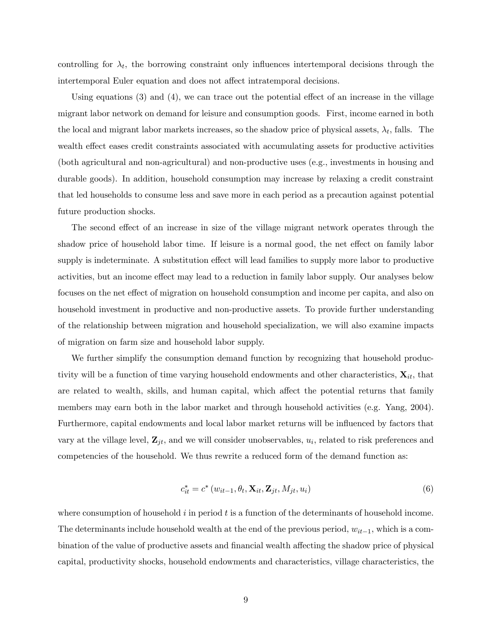controlling for  $\lambda_t$ , the borrowing constraint only influences intertemporal decisions through the intertemporal Euler equation and does not affect intratemporal decisions.

Using equations (3) and (4), we can trace out the potential effect of an increase in the village migrant labor network on demand for leisure and consumption goods. First, income earned in both the local and migrant labor markets increases, so the shadow price of physical assets,  $\lambda_t$ , falls. The wealth effect eases credit constraints associated with accumulating assets for productive activities (both agricultural and non-agricultural) and non-productive uses (e.g., investments in housing and durable goods). In addition, household consumption may increase by relaxing a credit constraint that led households to consume less and save more in each period as a precaution against potential future production shocks.

The second effect of an increase in size of the village migrant network operates through the shadow price of household labor time. If leisure is a normal good, the net effect on family labor supply is indeterminate. A substitution effect will lead families to supply more labor to productive activities, but an income effect may lead to a reduction in family labor supply. Our analyses below focuses on the net effect of migration on household consumption and income per capita, and also on household investment in productive and non-productive assets. To provide further understanding of the relationship between migration and household specialization, we will also examine impacts of migration on farm size and household labor supply.

We further simplify the consumption demand function by recognizing that household productivity will be a function of time varying household endowments and other characteristics,  $\mathbf{X}_{it}$ , that are related to wealth, skills, and human capital, which affect the potential returns that family members may earn both in the labor market and through household activities (e.g. Yang, 2004). Furthermore, capital endowments and local labor market returns will be influenced by factors that vary at the village level,  $\mathbf{Z}_{jt}$ , and we will consider unobservables,  $u_i$ , related to risk preferences and competencies of the household. We thus rewrite a reduced form of the demand function as:

$$
c_{it}^* = c^* \left( w_{it-1}, \theta_t, \mathbf{X}_{it}, \mathbf{Z}_{jt}, M_{jt}, u_i \right) \tag{6}
$$

where consumption of household  $i$  in period  $t$  is a function of the determinants of household income. The determinants include household wealth at the end of the previous period,  $w_{it-1}$ , which is a combination of the value of productive assets and financial wealth affecting the shadow price of physical capital, productivity shocks, household endowments and characteristics, village characteristics, the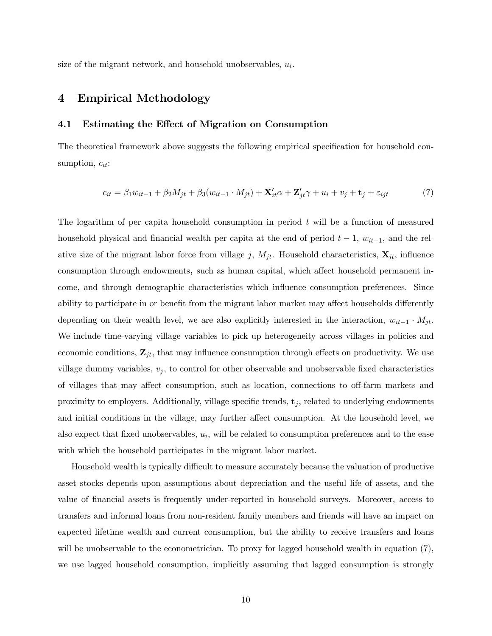size of the migrant network, and household unobservables,  $u_i$ .

## 4 Empirical Methodology

#### 4.1 Estimating the Effect of Migration on Consumption

The theoretical framework above suggests the following empirical specification for household consumption,  $c_{it}$ :

$$
c_{it} = \beta_1 w_{it-1} + \beta_2 M_{jt} + \beta_3 (w_{it-1} \cdot M_{jt}) + \mathbf{X}'_{it} \alpha + \mathbf{Z}'_{jt} \gamma + u_i + v_j + \mathbf{t}_j + \varepsilon_{ijt} \tag{7}
$$

The logarithm of per capita household consumption in period  $t$  will be a function of measured household physical and financial wealth per capita at the end of period  $t - 1$ ,  $w_{it-1}$ , and the relative size of the migrant labor force from village j,  $M_{jt}$ . Household characteristics,  $\mathbf{X}_{it}$ , influence consumption through endowments, such as human capital, which affect household permanent income, and through demographic characteristics which influence consumption preferences. Since ability to participate in or benefit from the migrant labor market may affect households differently depending on their wealth level, we are also explicitly interested in the interaction,  $w_{it-1} \cdot M_{jt}$ . We include time-varying village variables to pick up heterogeneity across villages in policies and economic conditions,  $\mathbf{Z}_{jt}$ , that may influence consumption through effects on productivity. We use village dummy variables,  $v_j$ , to control for other observable and unobservable fixed characteristics of villages that may affect consumption, such as location, connections to off-farm markets and proximity to employers. Additionally, village specific trends,  $t_j$ , related to underlying endowments and initial conditions in the village, may further affect consumption. At the household level, we also expect that fixed unobservables,  $u_i$ , will be related to consumption preferences and to the ease with which the household participates in the migrant labor market.

Household wealth is typically difficult to measure accurately because the valuation of productive asset stocks depends upon assumptions about depreciation and the useful life of assets, and the value of financial assets is frequently under-reported in household surveys. Moreover, access to transfers and informal loans from non-resident family members and friends will have an impact on expected lifetime wealth and current consumption, but the ability to receive transfers and loans will be unobservable to the econometrician. To proxy for lagged household wealth in equation (7), we use lagged household consumption, implicitly assuming that lagged consumption is strongly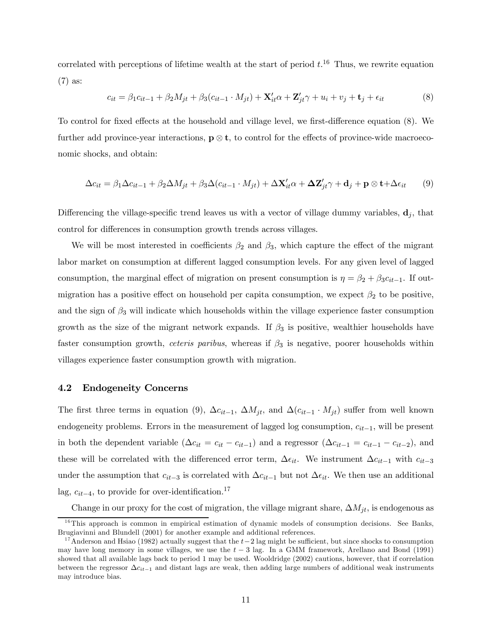correlated with perceptions of lifetime wealth at the start of period  $t.^{16}$  Thus, we rewrite equation (7) as:

$$
c_{it} = \beta_1 c_{it-1} + \beta_2 M_{jt} + \beta_3 (c_{it-1} \cdot M_{jt}) + \mathbf{X}'_{it} \alpha + \mathbf{Z}'_{jt} \gamma + u_i + v_j + \mathbf{t}_j + \epsilon_{it}
$$
(8)

To control for fixed effects at the household and village level, we first-difference equation (8). We further add province-year interactions,  $\mathbf{p} \otimes \mathbf{t}$ , to control for the effects of province-wide macroeconomic shocks, and obtain:

$$
\Delta c_{it} = \beta_1 \Delta c_{it-1} + \beta_2 \Delta M_{jt} + \beta_3 \Delta (c_{it-1} \cdot M_{jt}) + \Delta \mathbf{X}_{it}' \alpha + \Delta \mathbf{Z}_{jt}' \gamma + \mathbf{d}_j + \mathbf{p} \otimes \mathbf{t} + \Delta \epsilon_{it}
$$
(9)

Differencing the village-specific trend leaves us with a vector of village dummy variables,  $\mathbf{d}_i$ , that control for differences in consumption growth trends across villages.

We will be most interested in coefficients  $\beta_2$  and  $\beta_3$ , which capture the effect of the migrant labor market on consumption at different lagged consumption levels. For any given level of lagged consumption, the marginal effect of migration on present consumption is  $\eta = \beta_2 + \beta_3 c_{it-1}$ . If outmigration has a positive effect on household per capita consumption, we expect  $\beta_2$  to be positive, and the sign of  $\beta_3$  will indicate which households within the village experience faster consumption growth as the size of the migrant network expands. If  $\beta_3$  is positive, wealthier households have faster consumption growth, *ceteris paribus*, whereas if  $\beta_3$  is negative, poorer households within villages experience faster consumption growth with migration.

#### 4.2 Endogeneity Concerns

The first three terms in equation (9),  $\Delta c_{it-1}$ ,  $\Delta M_{jt}$ , and  $\Delta (c_{it-1} \cdot M_{jt})$  suffer from well known endogeneity problems. Errors in the measurement of lagged log consumption,  $c_{it-1}$ , will be present in both the dependent variable  $(\Delta c_{it} = c_{it} - c_{it-1})$  and a regressor  $(\Delta c_{it-1} = c_{it-1} - c_{it-2})$ , and these will be correlated with the differenced error term,  $\Delta \epsilon_{it}$ . We instrument  $\Delta c_{it-1}$  with  $c_{it-3}$ under the assumption that  $c_{it-3}$  is correlated with  $\Delta c_{it-1}$  but not  $\Delta \epsilon_{it}$ . We then use an additional lag,  $c_{it-4}$ , to provide for over-identification.<sup>17</sup>

Change in our proxy for the cost of migration, the village migrant share,  $\Delta M_{jt}$ , is endogenous as

 $16$ This approach is common in empirical estimation of dynamic models of consumption decisions. See Banks, Brugiavinni and Blundell (2001) for another example and additional references.

<sup>&</sup>lt;sup>17</sup>Anderson and Hsiao (1982) actually suggest that the  $t-2$  lag might be sufficient, but since shocks to consumption may have long memory in some villages, we use the  $t - 3$  lag. In a GMM framework, Arellano and Bond (1991) showed that all available lags back to period 1 may be used. Wooldridge (2002) cautions, however, that if correlation between the regressor  $\Delta c_{it-1}$  and distant lags are weak, then adding large numbers of additional weak instruments may introduce bias.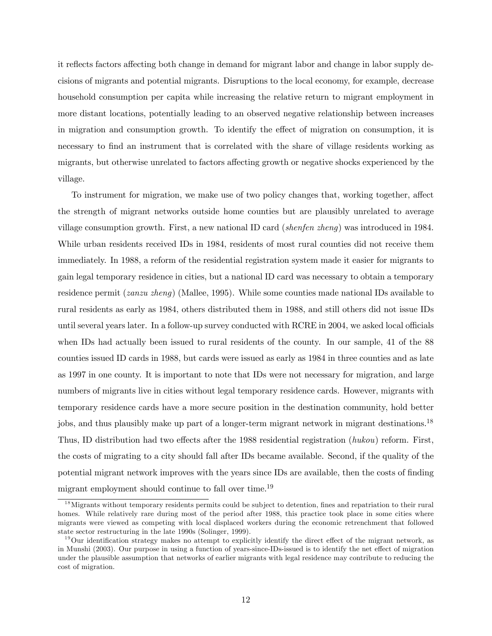it reflects factors affecting both change in demand for migrant labor and change in labor supply decisions of migrants and potential migrants. Disruptions to the local economy, for example, decrease household consumption per capita while increasing the relative return to migrant employment in more distant locations, potentially leading to an observed negative relationship between increases in migration and consumption growth. To identify the effect of migration on consumption, it is necessary to find an instrument that is correlated with the share of village residents working as migrants, but otherwise unrelated to factors affecting growth or negative shocks experienced by the village.

To instrument for migration, we make use of two policy changes that, working together, affect the strength of migrant networks outside home counties but are plausibly unrelated to average village consumption growth. First, a new national ID card (shenfen zheng) was introduced in 1984. While urban residents received IDs in 1984, residents of most rural counties did not receive them immediately. In 1988, a reform of the residential registration system made it easier for migrants to gain legal temporary residence in cities, but a national ID card was necessary to obtain a temporary residence permit (zanzu zheng) (Mallee, 1995). While some counties made national IDs available to rural residents as early as 1984, others distributed them in 1988, and still others did not issue IDs until several years later. In a follow-up survey conducted with RCRE in 2004, we asked local officials when IDs had actually been issued to rural residents of the county. In our sample, 41 of the 88 counties issued ID cards in 1988, but cards were issued as early as 1984 in three counties and as late as 1997 in one county. It is important to note that IDs were not necessary for migration, and large numbers of migrants live in cities without legal temporary residence cards. However, migrants with temporary residence cards have a more secure position in the destination community, hold better jobs, and thus plausibly make up part of a longer-term migrant network in migrant destinations.<sup>18</sup> Thus, ID distribution had two effects after the 1988 residential registration (hukou) reform. First, the costs of migrating to a city should fall after IDs became available. Second, if the quality of the potential migrant network improves with the years since IDs are available, then the costs of finding migrant employment should continue to fall over time.<sup>19</sup>

<sup>&</sup>lt;sup>18</sup>Migrants without temporary residents permits could be subject to detention, fines and repatriation to their rural homes. While relatively rare during most of the period after 1988, this practice took place in some cities where migrants were viewed as competing with local displaced workers during the economic retrenchment that followed state sector restructuring in the late 1990s (Solinger, 1999).

 $19$ Our identification strategy makes no attempt to explicitly identify the direct effect of the migrant network, as in Munshi (2003). Our purpose in using a function of years-since-IDs-issued is to identify the net effect of migration under the plausible assumption that networks of earlier migrants with legal residence may contribute to reducing the cost of migration.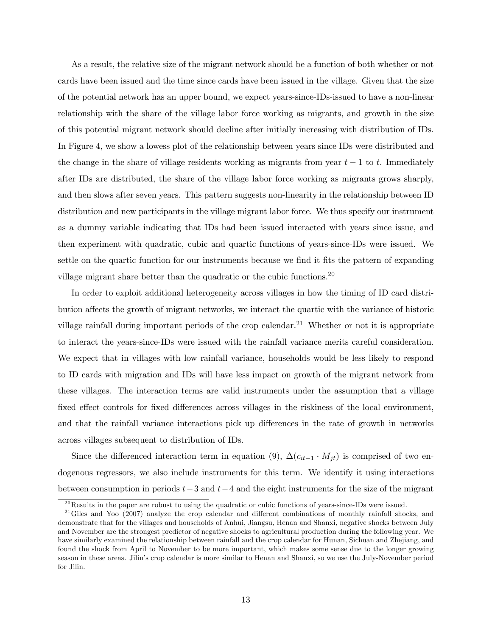As a result, the relative size of the migrant network should be a function of both whether or not cards have been issued and the time since cards have been issued in the village. Given that the size of the potential network has an upper bound, we expect years-since-IDs-issued to have a non-linear relationship with the share of the village labor force working as migrants, and growth in the size of this potential migrant network should decline after initially increasing with distribution of IDs. In Figure 4, we show a lowess plot of the relationship between years since IDs were distributed and the change in the share of village residents working as migrants from year  $t - 1$  to t. Immediately after IDs are distributed, the share of the village labor force working as migrants grows sharply, and then slows after seven years. This pattern suggests non-linearity in the relationship between ID distribution and new participants in the village migrant labor force. We thus specify our instrument as a dummy variable indicating that IDs had been issued interacted with years since issue, and then experiment with quadratic, cubic and quartic functions of years-since-IDs were issued. We settle on the quartic function for our instruments because we find it fits the pattern of expanding village migrant share better than the quadratic or the cubic functions.20

In order to exploit additional heterogeneity across villages in how the timing of ID card distribution affects the growth of migrant networks, we interact the quartic with the variance of historic village rainfall during important periods of the crop calendar.<sup>21</sup> Whether or not it is appropriate to interact the years-since-IDs were issued with the rainfall variance merits careful consideration. We expect that in villages with low rainfall variance, households would be less likely to respond to ID cards with migration and IDs will have less impact on growth of the migrant network from these villages. The interaction terms are valid instruments under the assumption that a village fixed effect controls for fixed differences across villages in the riskiness of the local environment, and that the rainfall variance interactions pick up differences in the rate of growth in networks across villages subsequent to distribution of IDs.

Since the differenced interaction term in equation (9),  $\Delta(c_{it-1} \cdot M_{it})$  is comprised of two endogenous regressors, we also include instruments for this term. We identify it using interactions between consumption in periods  $t-3$  and  $t-4$  and the eight instruments for the size of the migrant

 $^{20}$ Results in the paper are robust to using the quadratic or cubic functions of years-since-IDs were issued.

 $21$  Giles and Yoo (2007) analyze the crop calendar and different combinations of monthly rainfall shocks, and demonstrate that for the villages and households of Anhui, Jiangsu, Henan and Shanxi, negative shocks between July and November are the strongest predictor of negative shocks to agricultural production during the following year. We have similarly examined the relationship between rainfall and the crop calendar for Hunan, Sichuan and Zhejiang, and found the shock from April to November to be more important, which makes some sense due to the longer growing season in these areas. Jilin's crop calendar is more similar to Henan and Shanxi, so we use the July-November period for Jilin.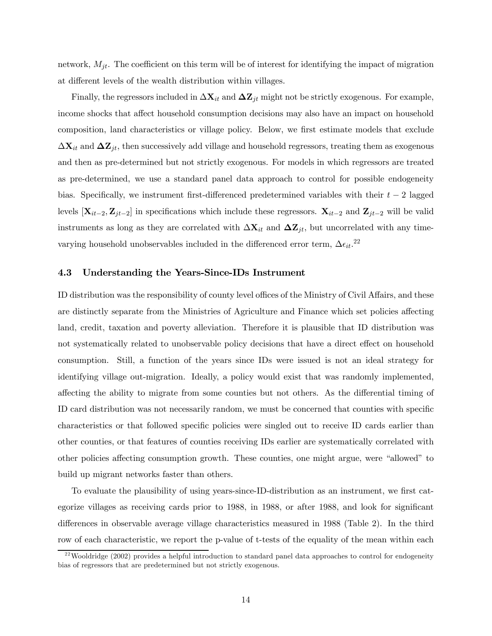network,  $M_{jt}$ . The coefficient on this term will be of interest for identifying the impact of migration at different levels of the wealth distribution within villages.

Finally, the regressors included in  $\Delta \mathbf{X}_{it}$  and  $\Delta \mathbf{Z}_{jt}$  might not be strictly exogenous. For example, income shocks that affect household consumption decisions may also have an impact on household composition, land characteristics or village policy. Below, we first estimate models that exclude  $\Delta \mathbf{X}_{it}$  and  $\Delta \mathbf{Z}_{it}$ , then successively add village and household regressors, treating them as exogenous and then as pre-determined but not strictly exogenous. For models in which regressors are treated as pre-determined, we use a standard panel data approach to control for possible endogeneity bias. Specifically, we instrument first-differenced predetermined variables with their  $t - 2$  lagged levels  $[\mathbf{X}_{it-2}, \mathbf{Z}_{jt-2}]$  in specifications which include these regressors.  $\mathbf{X}_{it-2}$  and  $\mathbf{Z}_{jt-2}$  will be valid instruments as long as they are correlated with  $\Delta \mathbf{X}_{it}$  and  $\Delta \mathbf{Z}_{jt}$ , but uncorrelated with any timevarying household unobservables included in the differenced error term,  $\Delta \epsilon_{it}$ .<sup>22</sup>

#### 4.3 Understanding the Years-Since-IDs Instrument

ID distribution was the responsibility of county level offices of the Ministry of Civil Affairs, and these are distinctly separate from the Ministries of Agriculture and Finance which set policies affecting land, credit, taxation and poverty alleviation. Therefore it is plausible that ID distribution was not systematically related to unobservable policy decisions that have a direct effect on household consumption. Still, a function of the years since IDs were issued is not an ideal strategy for identifying village out-migration. Ideally, a policy would exist that was randomly implemented, affecting the ability to migrate from some counties but not others. As the differential timing of ID card distribution was not necessarily random, we must be concerned that counties with specific characteristics or that followed specific policies were singled out to receive ID cards earlier than other counties, or that features of counties receiving IDs earlier are systematically correlated with other policies affecting consumption growth. These counties, one might argue, were "allowed" to build up migrant networks faster than others.

To evaluate the plausibility of using years-since-ID-distribution as an instrument, we first categorize villages as receiving cards prior to 1988, in 1988, or after 1988, and look for significant differences in observable average village characteristics measured in 1988 (Table 2). In the third row of each characteristic, we report the p-value of t-tests of the equality of the mean within each

<sup>&</sup>lt;sup>22</sup> Wooldridge (2002) provides a helpful introduction to standard panel data approaches to control for endogeneity bias of regressors that are predetermined but not strictly exogenous.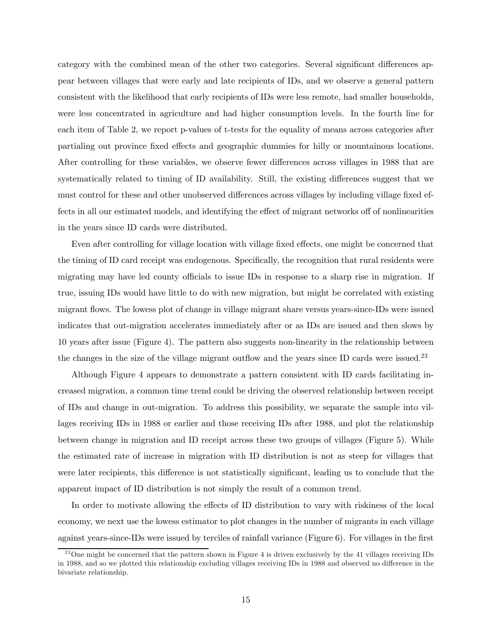category with the combined mean of the other two categories. Several significant differences appear between villages that were early and late recipients of IDs, and we observe a general pattern consistent with the likelihood that early recipients of IDs were less remote, had smaller households, were less concentrated in agriculture and had higher consumption levels. In the fourth line for each item of Table 2, we report p-values of t-tests for the equality of means across categories after partialing out province fixed effects and geographic dummies for hilly or mountainous locations. After controlling for these variables, we observe fewer differences across villages in 1988 that are systematically related to timing of ID availability. Still, the existing differences suggest that we must control for these and other unobserved differences across villages by including village fixed effects in all our estimated models, and identifying the effect of migrant networks off of nonlinearities in the years since ID cards were distributed.

Even after controlling for village location with village fixed effects, one might be concerned that the timing of ID card receipt was endogenous. Specifically, the recognition that rural residents were migrating may have led county officials to issue IDs in response to a sharp rise in migration. If true, issuing IDs would have little to do with new migration, but might be correlated with existing migrant flows. The lowess plot of change in village migrant share versus years-since-IDs were issued indicates that out-migration accelerates immediately after or as IDs are issued and then slows by 10 years after issue (Figure 4). The pattern also suggests non-linearity in the relationship between the changes in the size of the village migrant outflow and the years since ID cards were issued.<sup>23</sup>

Although Figure 4 appears to demonstrate a pattern consistent with ID cards facilitating increased migration, a common time trend could be driving the observed relationship between receipt of IDs and change in out-migration. To address this possibility, we separate the sample into villages receiving IDs in 1988 or earlier and those receiving IDs after 1988, and plot the relationship between change in migration and ID receipt across these two groups of villages (Figure 5). While the estimated rate of increase in migration with ID distribution is not as steep for villages that were later recipients, this difference is not statistically significant, leading us to conclude that the apparent impact of ID distribution is not simply the result of a common trend.

In order to motivate allowing the effects of ID distribution to vary with riskiness of the local economy, we next use the lowess estimator to plot changes in the number of migrants in each village against years-since-IDs were issued by terciles of rainfall variance (Figure 6). For villages in the first

 $^{23}$  One might be concerned that the pattern shown in Figure 4 is driven exclusively by the 41 villages receiving IDs in 1988, and so we plotted this relationship excluding villages receiving IDs in 1988 and observed no difference in the bivariate relationship.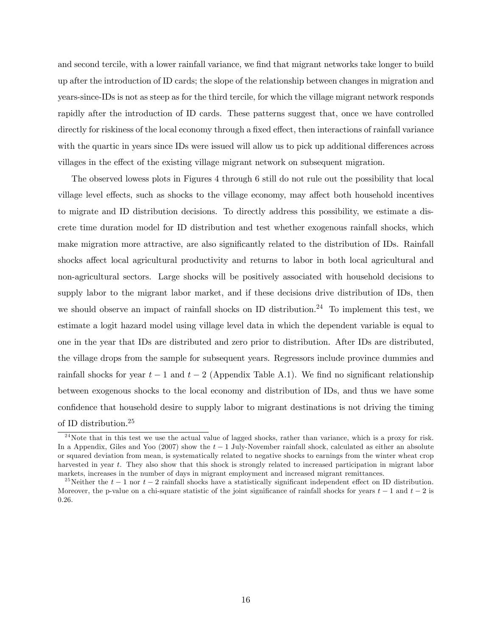and second tercile, with a lower rainfall variance, we find that migrant networks take longer to build up after the introduction of ID cards; the slope of the relationship between changes in migration and years-since-IDs is not as steep as for the third tercile, for which the village migrant network responds rapidly after the introduction of ID cards. These patterns suggest that, once we have controlled directly for riskiness of the local economy through a fixed effect, then interactions of rainfall variance with the quartic in years since IDs were issued will allow us to pick up additional differences across villages in the effect of the existing village migrant network on subsequent migration.

The observed lowess plots in Figures 4 through 6 still do not rule out the possibility that local village level effects, such as shocks to the village economy, may affect both household incentives to migrate and ID distribution decisions. To directly address this possibility, we estimate a discrete time duration model for ID distribution and test whether exogenous rainfall shocks, which make migration more attractive, are also significantly related to the distribution of IDs. Rainfall shocks affect local agricultural productivity and returns to labor in both local agricultural and non-agricultural sectors. Large shocks will be positively associated with household decisions to supply labor to the migrant labor market, and if these decisions drive distribution of IDs, then we should observe an impact of rainfall shocks on ID distribution.<sup>24</sup> To implement this test, we estimate a logit hazard model using village level data in which the dependent variable is equal to one in the year that IDs are distributed and zero prior to distribution. After IDs are distributed, the village drops from the sample for subsequent years. Regressors include province dummies and rainfall shocks for year  $t-1$  and  $t-2$  (Appendix Table A.1). We find no significant relationship between exogenous shocks to the local economy and distribution of IDs, and thus we have some confidence that household desire to supply labor to migrant destinations is not driving the timing of ID distribution.25

 $^{24}$ Note that in this test we use the actual value of lagged shocks, rather than variance, which is a proxy for risk. In a Appendix, Giles and Yoo (2007) show the  $t - 1$  July-November rainfall shock, calculated as either an absolute or squared deviation from mean, is systematically related to negative shocks to earnings from the winter wheat crop harvested in year t. They also show that this shock is strongly related to increased participation in migrant labor markets, increases in the number of days in migrant employment and increased migrant remittances.

<sup>&</sup>lt;sup>25</sup>Neither the  $t-1$  nor  $t-2$  rainfall shocks have a statistically significant independent effect on ID distribution. Moreover, the p-value on a chi-square statistic of the joint significance of rainfall shocks for years  $t - 1$  and  $t - 2$  is 0.26.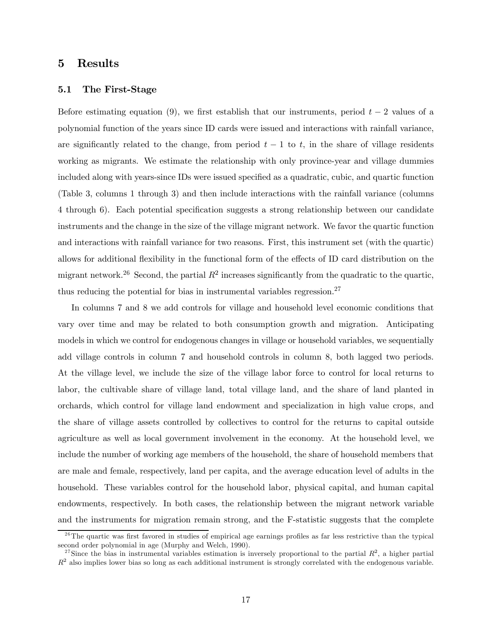## 5 Results

#### 5.1 The First-Stage

Before estimating equation (9), we first establish that our instruments, period  $t-2$  values of a polynomial function of the years since ID cards were issued and interactions with rainfall variance, are significantly related to the change, from period  $t - 1$  to t, in the share of village residents working as migrants. We estimate the relationship with only province-year and village dummies included along with years-since IDs were issued specified as a quadratic, cubic, and quartic function (Table 3, columns 1 through 3) and then include interactions with the rainfall variance (columns 4 through 6). Each potential specification suggests a strong relationship between our candidate instruments and the change in the size of the village migrant network. We favor the quartic function and interactions with rainfall variance for two reasons. First, this instrument set (with the quartic) allows for additional flexibility in the functional form of the effects of ID card distribution on the migrant network.<sup>26</sup> Second, the partial  $R^2$  increases significantly from the quadratic to the quartic, thus reducing the potential for bias in instrumental variables regression.<sup>27</sup>

In columns 7 and 8 we add controls for village and household level economic conditions that vary over time and may be related to both consumption growth and migration. Anticipating models in which we control for endogenous changes in village or household variables, we sequentially add village controls in column 7 and household controls in column 8, both lagged two periods. At the village level, we include the size of the village labor force to control for local returns to labor, the cultivable share of village land, total village land, and the share of land planted in orchards, which control for village land endowment and specialization in high value crops, and the share of village assets controlled by collectives to control for the returns to capital outside agriculture as well as local government involvement in the economy. At the household level, we include the number of working age members of the household, the share of household members that are male and female, respectively, land per capita, and the average education level of adults in the household. These variables control for the household labor, physical capital, and human capital endowments, respectively. In both cases, the relationship between the migrant network variable and the instruments for migration remain strong, and the F-statistic suggests that the complete

 $2<sup>6</sup>$ The quartic was first favored in studies of empirical age earnings profiles as far less restrictive than the typical second order polynomial in age (Murphy and Welch, 1990).

<sup>&</sup>lt;sup>27</sup>Since the bias in instrumental variables estimation is inversely proportional to the partial  $R^2$ , a higher partial  $R<sup>2</sup>$  also implies lower bias so long as each additional instrument is strongly correlated with the endogenous variable.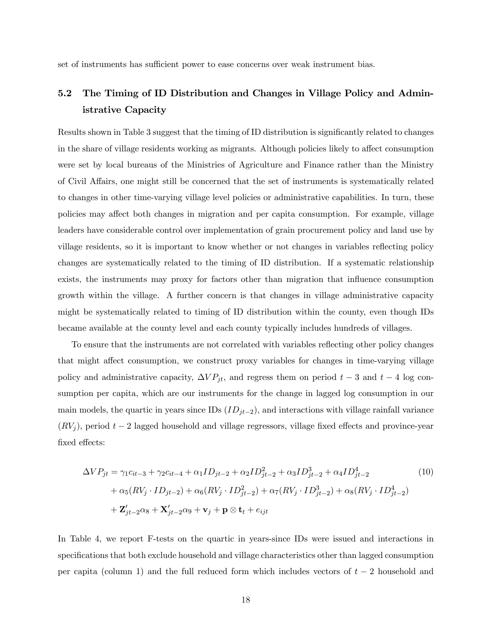set of instruments has sufficient power to ease concerns over weak instrument bias.

## 5.2 The Timing of ID Distribution and Changes in Village Policy and Administrative Capacity

Results shown in Table 3 suggest that the timing of ID distribution is significantly related to changes in the share of village residents working as migrants. Although policies likely to affect consumption were set by local bureaus of the Ministries of Agriculture and Finance rather than the Ministry of Civil Affairs, one might still be concerned that the set of instruments is systematically related to changes in other time-varying village level policies or administrative capabilities. In turn, these policies may affect both changes in migration and per capita consumption. For example, village leaders have considerable control over implementation of grain procurement policy and land use by village residents, so it is important to know whether or not changes in variables reflecting policy changes are systematically related to the timing of ID distribution. If a systematic relationship exists, the instruments may proxy for factors other than migration that influence consumption growth within the village. A further concern is that changes in village administrative capacity might be systematically related to timing of ID distribution within the county, even though IDs became available at the county level and each county typically includes hundreds of villages.

To ensure that the instruments are not correlated with variables reflecting other policy changes that might affect consumption, we construct proxy variables for changes in time-varying village policy and administrative capacity,  $\Delta VP_{jt}$ , and regress them on period  $t-3$  and  $t-4$  log consumption per capita, which are our instruments for the change in lagged log consumption in our main models, the quartic in years since IDs  $(ID_{jt-2})$ , and interactions with village rainfall variance  $(RV_i)$ , period  $t-2$  lagged household and village regressors, village fixed effects and province-year fixed effects:

$$
\Delta VP_{jt} = \gamma_1 c_{it-3} + \gamma_2 c_{it-4} + \alpha_1 ID_{jt-2} + \alpha_2 ID_{jt-2}^2 + \alpha_3 ID_{jt-2}^3 + \alpha_4 ID_{jt-2}^4 \tag{10}
$$
  
+  $\alpha_5 (RV_j \cdot ID_{jt-2}) + \alpha_6 (RV_j \cdot ID_{jt-2}^2) + \alpha_7 (RV_j \cdot ID_{jt-2}^3) + \alpha_8 (RV_j \cdot ID_{jt-2}^4)$   
+  $\mathbf{Z}'_{jt-2} \alpha_8 + \mathbf{X}'_{jt-2} \alpha_9 + \mathbf{v}_j + \mathbf{p} \otimes \mathbf{t}_t + e_{ijt}$ 

In Table 4, we report F-tests on the quartic in years-since IDs were issued and interactions in specifications that both exclude household and village characteristics other than lagged consumption per capita (column 1) and the full reduced form which includes vectors of  $t-2$  household and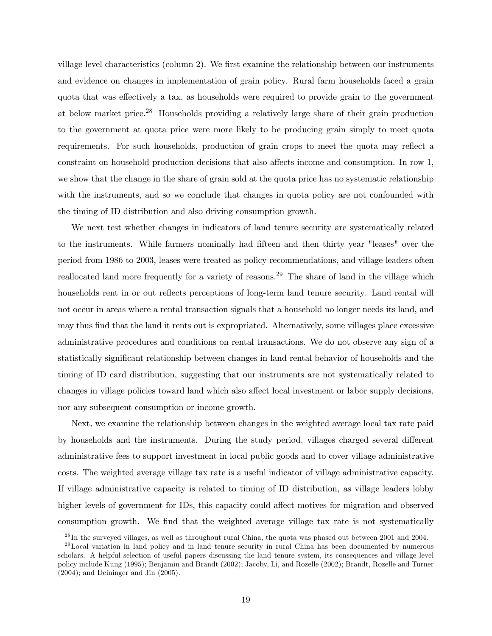village level characteristics (column 2). We first examine the relationship between our instruments and evidence on changes in implementation of grain policy. Rural farm households faced a grain quota that was effectively a tax, as households were required to provide grain to the government at below market price.28 Households providing a relatively large share of their grain production to the government at quota price were more likely to be producing grain simply to meet quota requirements. For such households, production of grain crops to meet the quota may reflect a constraint on household production decisions that also affects income and consumption. In row 1, we show that the change in the share of grain sold at the quota price has no systematic relationship with the instruments, and so we conclude that changes in quota policy are not confounded with the timing of ID distribution and also driving consumption growth.

We next test whether changes in indicators of land tenure security are systematically related to the instruments. While farmers nominally had fifteen and then thirty year "leases" over the period from 1986 to 2003, leases were treated as policy recommendations, and village leaders often reallocated land more frequently for a variety of reasons.<sup>29</sup> The share of land in the village which households rent in or out reflects perceptions of long-term land tenure security. Land rental will not occur in areas where a rental transaction signals that a household no longer needs its land, and may thus find that the land it rents out is expropriated. Alternatively, some villages place excessive administrative procedures and conditions on rental transactions. We do not observe any sign of a statistically significant relationship between changes in land rental behavior of households and the timing of ID card distribution, suggesting that our instruments are not systematically related to changes in village policies toward land which also affect local investment or labor supply decisions, nor any subsequent consumption or income growth.

Next, we examine the relationship between changes in the weighted average local tax rate paid by households and the instruments. During the study period, villages charged several different administrative fees to support investment in local public goods and to cover village administrative costs. The weighted average village tax rate is a useful indicator of village administrative capacity. If village administrative capacity is related to timing of ID distribution, as village leaders lobby higher levels of government for IDs, this capacity could affect motives for migration and observed consumption growth. We find that the weighted average village tax rate is not systematically

 $^{28}$ In the surveyed villages, as well as throughout rural China, the quota was phased out between 2001 and 2004.

<sup>&</sup>lt;sup>29</sup>Local variation in land policy and in land tenure security in rural China has been documented by numerous scholars. A helpful selection of useful papers discussing the land tenure system, its consequences and village level policy include Kung (1995); Benjamin and Brandt (2002); Jacoby, Li, and Rozelle (2002); Brandt, Rozelle and Turner (2004); and Deininger and Jin (2005).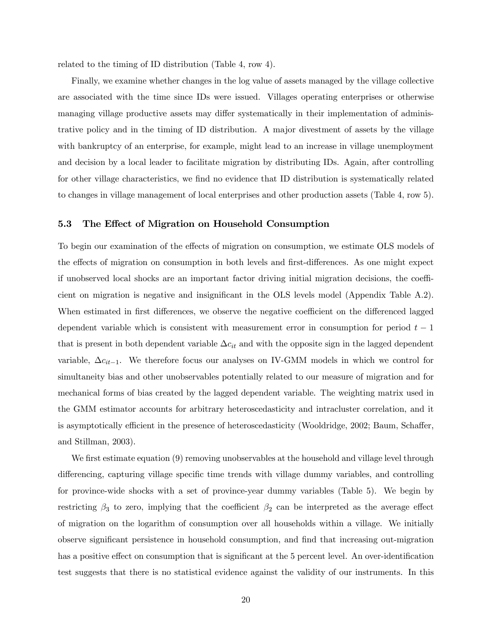related to the timing of ID distribution (Table 4, row 4).

Finally, we examine whether changes in the log value of assets managed by the village collective are associated with the time since IDs were issued. Villages operating enterprises or otherwise managing village productive assets may differ systematically in their implementation of administrative policy and in the timing of ID distribution. A major divestment of assets by the village with bankruptcy of an enterprise, for example, might lead to an increase in village unemployment and decision by a local leader to facilitate migration by distributing IDs. Again, after controlling for other village characteristics, we find no evidence that ID distribution is systematically related to changes in village management of local enterprises and other production assets (Table 4, row 5).

#### 5.3 The Effect of Migration on Household Consumption

To begin our examination of the effects of migration on consumption, we estimate OLS models of the effects of migration on consumption in both levels and first-differences. As one might expect if unobserved local shocks are an important factor driving initial migration decisions, the coefficient on migration is negative and insignificant in the OLS levels model (Appendix Table A.2). When estimated in first differences, we observe the negative coefficient on the differenced lagged dependent variable which is consistent with measurement error in consumption for period  $t - 1$ that is present in both dependent variable  $\Delta c_{it}$  and with the opposite sign in the lagged dependent variable,  $\Delta c_{it-1}$ . We therefore focus our analyses on IV-GMM models in which we control for simultaneity bias and other unobservables potentially related to our measure of migration and for mechanical forms of bias created by the lagged dependent variable. The weighting matrix used in the GMM estimator accounts for arbitrary heteroscedasticity and intracluster correlation, and it is asymptotically efficient in the presence of heteroscedasticity (Wooldridge, 2002; Baum, Schaffer, and Stillman, 2003).

We first estimate equation (9) removing unobservables at the household and village level through differencing, capturing village specific time trends with village dummy variables, and controlling for province-wide shocks with a set of province-year dummy variables (Table 5). We begin by restricting  $\beta_3$  to zero, implying that the coefficient  $\beta_2$  can be interpreted as the average effect of migration on the logarithm of consumption over all households within a village. We initially observe significant persistence in household consumption, and find that increasing out-migration has a positive effect on consumption that is significant at the 5 percent level. An over-identification test suggests that there is no statistical evidence against the validity of our instruments. In this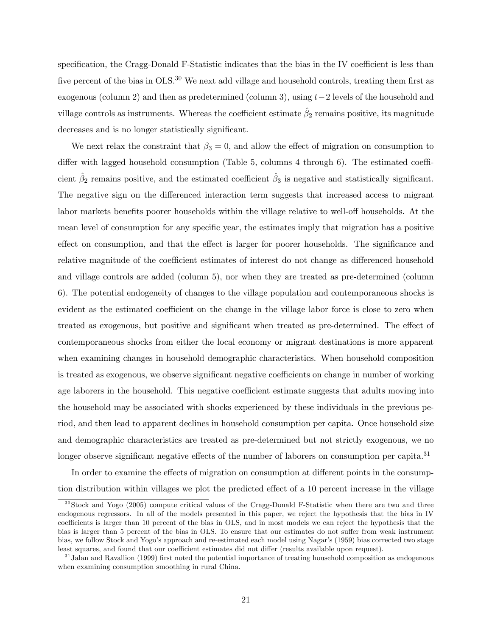specification, the Cragg-Donald F-Statistic indicates that the bias in the IV coefficient is less than five percent of the bias in  $OLS^{30}$  We next add village and household controls, treating them first as exogenous (column 2) and then as predetermined (column 3), using  $t-2$  levels of the household and village controls as instruments. Whereas the coefficient estimate  $\hat{\beta}_2$  remains positive, its magnitude decreases and is no longer statistically significant.

We next relax the constraint that  $\beta_3 = 0$ , and allow the effect of migration on consumption to differ with lagged household consumption (Table 5, columns 4 through 6). The estimated coefficient  $\hat{\beta}_2$  remains positive, and the estimated coefficient  $\hat{\beta}_3$  is negative and statistically significant. The negative sign on the differenced interaction term suggests that increased access to migrant labor markets benefits poorer households within the village relative to well-off households. At the mean level of consumption for any specific year, the estimates imply that migration has a positive effect on consumption, and that the effect is larger for poorer households. The significance and relative magnitude of the coefficient estimates of interest do not change as differenced household and village controls are added (column 5), nor when they are treated as pre-determined (column 6). The potential endogeneity of changes to the village population and contemporaneous shocks is evident as the estimated coefficient on the change in the village labor force is close to zero when treated as exogenous, but positive and significant when treated as pre-determined. The effect of contemporaneous shocks from either the local economy or migrant destinations is more apparent when examining changes in household demographic characteristics. When household composition is treated as exogenous, we observe significant negative coefficients on change in number of working age laborers in the household. This negative coefficient estimate suggests that adults moving into the household may be associated with shocks experienced by these individuals in the previous period, and then lead to apparent declines in household consumption per capita. Once household size and demographic characteristics are treated as pre-determined but not strictly exogenous, we no longer observe significant negative effects of the number of laborers on consumption per capita.<sup>31</sup>

In order to examine the effects of migration on consumption at different points in the consumption distribution within villages we plot the predicted effect of a 10 percent increase in the village

 $30\,\text{Stock}$  and Yogo (2005) compute critical values of the Cragg-Donald F-Statistic when there are two and three endogenous regressors. In all of the models presented in this paper, we reject the hypothesis that the bias in IV coefficients is larger than 10 percent of the bias in OLS, and in most models we can reject the hypothesis that the bias is larger than 5 percent of the bias in OLS. To ensure that our estimates do not suffer from weak instrument bias, we follow Stock and Yogo's approach and re-estimated each model using Nagar's (1959) bias corrected two stage least squares, and found that our coefficient estimates did not differ (results available upon request).

 $31$ Jalan and Ravallion (1999) first noted the potential importance of treating household composition as endogenous when examining consumption smoothing in rural China.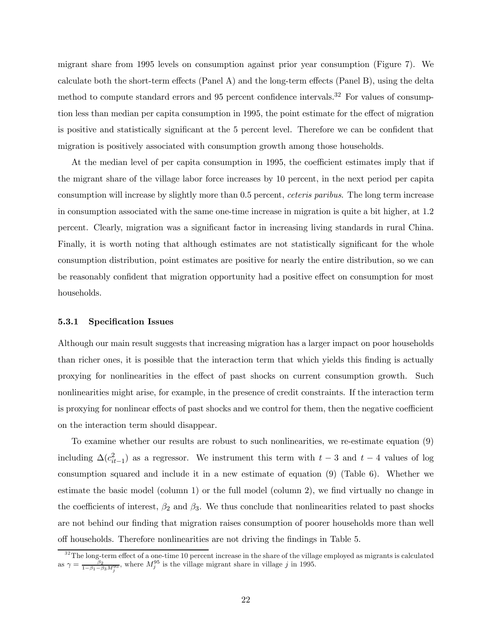migrant share from 1995 levels on consumption against prior year consumption (Figure 7). We calculate both the short-term effects (Panel A) and the long-term effects (Panel B), using the delta method to compute standard errors and 95 percent confidence intervals.<sup>32</sup> For values of consumption less than median per capita consumption in 1995, the point estimate for the effect of migration is positive and statistically significant at the 5 percent level. Therefore we can be confident that migration is positively associated with consumption growth among those households.

At the median level of per capita consumption in 1995, the coefficient estimates imply that if the migrant share of the village labor force increases by 10 percent, in the next period per capita consumption will increase by slightly more than 0.5 percent, ceteris paribus. The long term increase in consumption associated with the same one-time increase in migration is quite a bit higher, at 1.2 percent. Clearly, migration was a significant factor in increasing living standards in rural China. Finally, it is worth noting that although estimates are not statistically significant for the whole consumption distribution, point estimates are positive for nearly the entire distribution, so we can be reasonably confident that migration opportunity had a positive effect on consumption for most households.

#### 5.3.1 Specification Issues

Although our main result suggests that increasing migration has a larger impact on poor households than richer ones, it is possible that the interaction term that which yields this finding is actually proxying for nonlinearities in the effect of past shocks on current consumption growth. Such nonlinearities might arise, for example, in the presence of credit constraints. If the interaction term is proxying for nonlinear effects of past shocks and we control for them, then the negative coefficient on the interaction term should disappear.

To examine whether our results are robust to such nonlinearities, we re-estimate equation (9) including  $\Delta(c_{it-1}^2)$  as a regressor. We instrument this term with  $t-3$  and  $t-4$  values of log consumption squared and include it in a new estimate of equation (9) (Table 6). Whether we estimate the basic model (column 1) or the full model (column 2), we find virtually no change in the coefficients of interest,  $\beta_2$  and  $\beta_3$ . We thus conclude that nonlinearities related to past shocks are not behind our finding that migration raises consumption of poorer households more than well off households. Therefore nonlinearities are not driving the findings in Table 5.

 $32$ The long-term effect of a one-time 10 percent increase in the share of the village employed as migrants is calculated as  $\gamma = \frac{\beta_2}{1-\beta_1-\beta_3 M_j^{95}}$ , where  $M_j^{95}$  is the village migrant share in village j in 1995.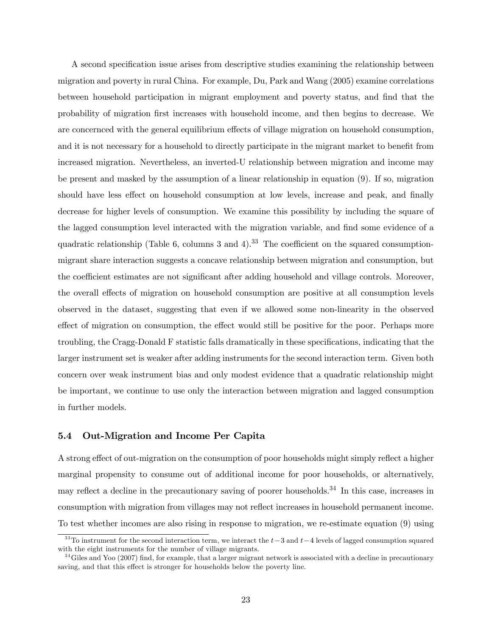A second specification issue arises from descriptive studies examining the relationship between migration and poverty in rural China. For example, Du, Park and Wang (2005) examine correlations between household participation in migrant employment and poverty status, and find that the probability of migration first increases with household income, and then begins to decrease. We are concernced with the general equilibrium effects of village migration on household consumption, and it is not necessary for a household to directly participate in the migrant market to benefit from increased migration. Nevertheless, an inverted-U relationship between migration and income may be present and masked by the assumption of a linear relationship in equation (9). If so, migration should have less effect on household consumption at low levels, increase and peak, and finally decrease for higher levels of consumption. We examine this possibility by including the square of the lagged consumption level interacted with the migration variable, and find some evidence of a quadratic relationship (Table 6, columns 3 and 4).<sup>33</sup> The coefficient on the squared consumptionmigrant share interaction suggests a concave relationship between migration and consumption, but the coefficient estimates are not significant after adding household and village controls. Moreover, the overall effects of migration on household consumption are positive at all consumption levels observed in the dataset, suggesting that even if we allowed some non-linearity in the observed effect of migration on consumption, the effect would still be positive for the poor. Perhaps more troubling, the Cragg-Donald F statistic falls dramatically in these specifications, indicating that the larger instrument set is weaker after adding instruments for the second interaction term. Given both concern over weak instrument bias and only modest evidence that a quadratic relationship might be important, we continue to use only the interaction between migration and lagged consumption in further models.

### 5.4 Out-Migration and Income Per Capita

A strong effect of out-migration on the consumption of poor households might simply reflect a higher marginal propensity to consume out of additional income for poor households, or alternatively, may reflect a decline in the precautionary saving of poorer households.<sup>34</sup> In this case, increases in consumption with migration from villages may not reflect increases in household permanent income. To test whether incomes are also rising in response to migration, we re-estimate equation (9) using

<sup>&</sup>lt;sup>33</sup>To instrument for the second interaction term, we interact the  $t-3$  and  $t-4$  levels of lagged consumption squared with the eight instruments for the number of village migrants.

 $34$  Giles and Yoo (2007) find, for example, that a larger migrant network is associated with a decline in precautionary saving, and that this effect is stronger for households below the poverty line.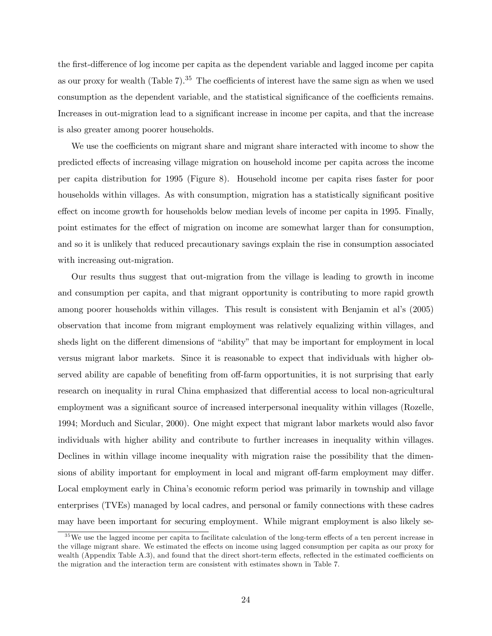the first-difference of log income per capita as the dependent variable and lagged income per capita as our proxy for wealth (Table 7).<sup>35</sup> The coefficients of interest have the same sign as when we used consumption as the dependent variable, and the statistical significance of the coefficients remains. Increases in out-migration lead to a significant increase in income per capita, and that the increase is also greater among poorer households.

We use the coefficients on migrant share and migrant share interacted with income to show the predicted effects of increasing village migration on household income per capita across the income per capita distribution for 1995 (Figure 8). Household income per capita rises faster for poor households within villages. As with consumption, migration has a statistically significant positive effect on income growth for households below median levels of income per capita in 1995. Finally, point estimates for the effect of migration on income are somewhat larger than for consumption, and so it is unlikely that reduced precautionary savings explain the rise in consumption associated with increasing out-migration.

Our results thus suggest that out-migration from the village is leading to growth in income and consumption per capita, and that migrant opportunity is contributing to more rapid growth among poorer households within villages. This result is consistent with Benjamin et al's (2005) observation that income from migrant employment was relatively equalizing within villages, and sheds light on the different dimensions of "ability" that may be important for employment in local versus migrant labor markets. Since it is reasonable to expect that individuals with higher observed ability are capable of benefiting from off-farm opportunities, it is not surprising that early research on inequality in rural China emphasized that differential access to local non-agricultural employment was a significant source of increased interpersonal inequality within villages (Rozelle, 1994; Morduch and Sicular, 2000). One might expect that migrant labor markets would also favor individuals with higher ability and contribute to further increases in inequality within villages. Declines in within village income inequality with migration raise the possibility that the dimensions of ability important for employment in local and migrant off-farm employment may differ. Local employment early in China's economic reform period was primarily in township and village enterprises (TVEs) managed by local cadres, and personal or family connections with these cadres may have been important for securing employment. While migrant employment is also likely se-

<sup>&</sup>lt;sup>35</sup>We use the lagged income per capita to facilitate calculation of the long-term effects of a ten percent increase in the village migrant share. We estimated the effects on income using lagged consumption per capita as our proxy for wealth (Appendix Table A.3), and found that the direct short-term effects, reflected in the estimated coefficients on the migration and the interaction term are consistent with estimates shown in Table 7.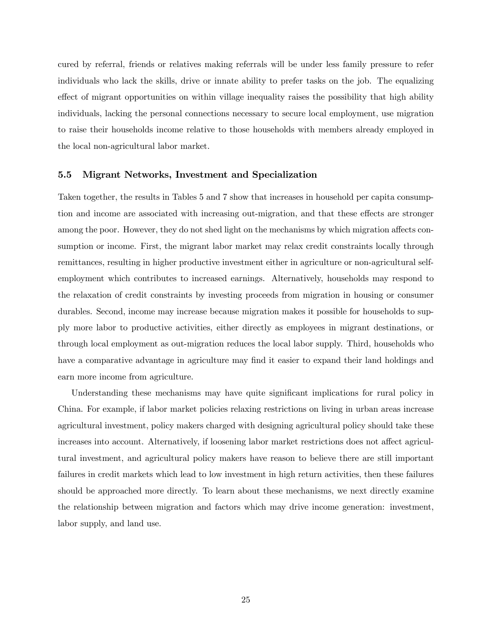cured by referral, friends or relatives making referrals will be under less family pressure to refer individuals who lack the skills, drive or innate ability to prefer tasks on the job. The equalizing effect of migrant opportunities on within village inequality raises the possibility that high ability individuals, lacking the personal connections necessary to secure local employment, use migration to raise their households income relative to those households with members already employed in the local non-agricultural labor market.

#### 5.5 Migrant Networks, Investment and Specialization

Taken together, the results in Tables 5 and 7 show that increases in household per capita consumption and income are associated with increasing out-migration, and that these effects are stronger among the poor. However, they do not shed light on the mechanisms by which migration affects consumption or income. First, the migrant labor market may relax credit constraints locally through remittances, resulting in higher productive investment either in agriculture or non-agricultural selfemployment which contributes to increased earnings. Alternatively, households may respond to the relaxation of credit constraints by investing proceeds from migration in housing or consumer durables. Second, income may increase because migration makes it possible for households to supply more labor to productive activities, either directly as employees in migrant destinations, or through local employment as out-migration reduces the local labor supply. Third, households who have a comparative advantage in agriculture may find it easier to expand their land holdings and earn more income from agriculture.

Understanding these mechanisms may have quite significant implications for rural policy in China. For example, if labor market policies relaxing restrictions on living in urban areas increase agricultural investment, policy makers charged with designing agricultural policy should take these increases into account. Alternatively, if loosening labor market restrictions does not affect agricultural investment, and agricultural policy makers have reason to believe there are still important failures in credit markets which lead to low investment in high return activities, then these failures should be approached more directly. To learn about these mechanisms, we next directly examine the relationship between migration and factors which may drive income generation: investment, labor supply, and land use.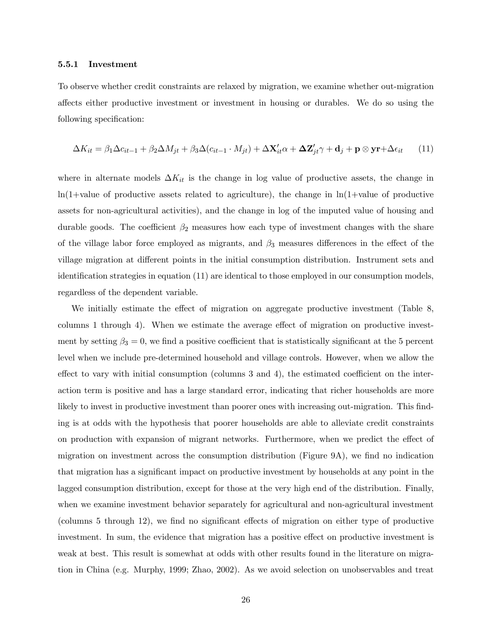#### 5.5.1 Investment

To observe whether credit constraints are relaxed by migration, we examine whether out-migration affects either productive investment or investment in housing or durables. We do so using the following specification:

$$
\Delta K_{it} = \beta_1 \Delta c_{it-1} + \beta_2 \Delta M_{jt} + \beta_3 \Delta (c_{it-1} \cdot M_{jt}) + \Delta \mathbf{X}_{it}' \alpha + \Delta \mathbf{Z}_{jt}' \gamma + \mathbf{d}_j + \mathbf{p} \otimes \mathbf{y} \mathbf{r} + \Delta \epsilon_{it} \tag{11}
$$

where in alternate models  $\Delta K_{it}$  is the change in log value of productive assets, the change in  $ln(1+value$  of productive assets related to agriculture), the change in  $ln(1+value$  of productive assets for non-agricultural activities), and the change in log of the imputed value of housing and durable goods. The coefficient  $\beta_2$  measures how each type of investment changes with the share of the village labor force employed as migrants, and  $\beta_3$  measures differences in the effect of the village migration at different points in the initial consumption distribution. Instrument sets and identification strategies in equation (11) are identical to those employed in our consumption models, regardless of the dependent variable.

We initially estimate the effect of migration on aggregate productive investment (Table 8, columns 1 through 4). When we estimate the average effect of migration on productive investment by setting  $\beta_3 = 0$ , we find a positive coefficient that is statistically significant at the 5 percent level when we include pre-determined household and village controls. However, when we allow the effect to vary with initial consumption (columns 3 and 4), the estimated coefficient on the interaction term is positive and has a large standard error, indicating that richer households are more likely to invest in productive investment than poorer ones with increasing out-migration. This finding is at odds with the hypothesis that poorer households are able to alleviate credit constraints on production with expansion of migrant networks. Furthermore, when we predict the effect of migration on investment across the consumption distribution (Figure 9A), we find no indication that migration has a significant impact on productive investment by households at any point in the lagged consumption distribution, except for those at the very high end of the distribution. Finally, when we examine investment behavior separately for agricultural and non-agricultural investment (columns 5 through 12), we find no significant effects of migration on either type of productive investment. In sum, the evidence that migration has a positive effect on productive investment is weak at best. This result is somewhat at odds with other results found in the literature on migration in China (e.g. Murphy, 1999; Zhao, 2002). As we avoid selection on unobservables and treat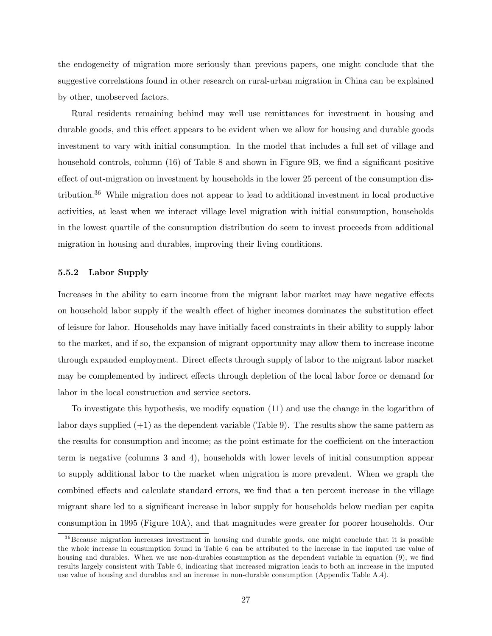the endogeneity of migration more seriously than previous papers, one might conclude that the suggestive correlations found in other research on rural-urban migration in China can be explained by other, unobserved factors.

Rural residents remaining behind may well use remittances for investment in housing and durable goods, and this effect appears to be evident when we allow for housing and durable goods investment to vary with initial consumption. In the model that includes a full set of village and household controls, column (16) of Table 8 and shown in Figure 9B, we find a significant positive effect of out-migration on investment by households in the lower 25 percent of the consumption distribution.36 While migration does not appear to lead to additional investment in local productive activities, at least when we interact village level migration with initial consumption, households in the lowest quartile of the consumption distribution do seem to invest proceeds from additional migration in housing and durables, improving their living conditions.

#### 5.5.2 Labor Supply

Increases in the ability to earn income from the migrant labor market may have negative effects on household labor supply if the wealth effect of higher incomes dominates the substitution effect of leisure for labor. Households may have initially faced constraints in their ability to supply labor to the market, and if so, the expansion of migrant opportunity may allow them to increase income through expanded employment. Direct effects through supply of labor to the migrant labor market may be complemented by indirect effects through depletion of the local labor force or demand for labor in the local construction and service sectors.

To investigate this hypothesis, we modify equation (11) and use the change in the logarithm of labor days supplied  $(+1)$  as the dependent variable (Table 9). The results show the same pattern as the results for consumption and income; as the point estimate for the coefficient on the interaction term is negative (columns 3 and 4), households with lower levels of initial consumption appear to supply additional labor to the market when migration is more prevalent. When we graph the combined effects and calculate standard errors, we find that a ten percent increase in the village migrant share led to a significant increase in labor supply for households below median per capita consumption in 1995 (Figure 10A), and that magnitudes were greater for poorer households. Our

<sup>&</sup>lt;sup>36</sup>Because migration increases investment in housing and durable goods, one might conclude that it is possible the whole increase in consumption found in Table 6 can be attributed to the increase in the imputed use value of housing and durables. When we use non-durables consumption as the dependent variable in equation (9), we find results largely consistent with Table 6, indicating that increased migration leads to both an increase in the imputed use value of housing and durables and an increase in non-durable consumption (Appendix Table A.4).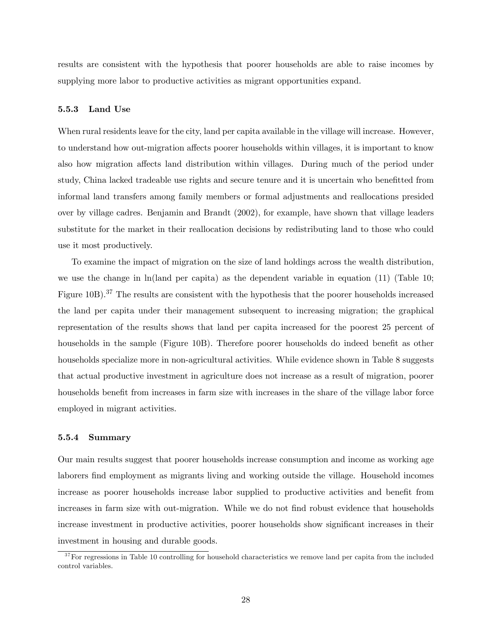results are consistent with the hypothesis that poorer households are able to raise incomes by supplying more labor to productive activities as migrant opportunities expand.

#### 5.5.3 Land Use

When rural residents leave for the city, land per capita available in the village will increase. However, to understand how out-migration affects poorer households within villages, it is important to know also how migration affects land distribution within villages. During much of the period under study, China lacked tradeable use rights and secure tenure and it is uncertain who benefitted from informal land transfers among family members or formal adjustments and reallocations presided over by village cadres. Benjamin and Brandt (2002), for example, have shown that village leaders substitute for the market in their reallocation decisions by redistributing land to those who could use it most productively.

To examine the impact of migration on the size of land holdings across the wealth distribution, we use the change in ln(land per capita) as the dependent variable in equation (11) (Table 10; Figure 10B).<sup>37</sup> The results are consistent with the hypothesis that the poorer households increased the land per capita under their management subsequent to increasing migration; the graphical representation of the results shows that land per capita increased for the poorest 25 percent of households in the sample (Figure 10B). Therefore poorer households do indeed benefit as other households specialize more in non-agricultural activities. While evidence shown in Table 8 suggests that actual productive investment in agriculture does not increase as a result of migration, poorer households benefit from increases in farm size with increases in the share of the village labor force employed in migrant activities.

### 5.5.4 Summary

Our main results suggest that poorer households increase consumption and income as working age laborers find employment as migrants living and working outside the village. Household incomes increase as poorer households increase labor supplied to productive activities and benefit from increases in farm size with out-migration. While we do not find robust evidence that households increase investment in productive activities, poorer households show significant increases in their investment in housing and durable goods.

 $37$  For regressions in Table 10 controlling for household characteristics we remove land per capita from the included control variables.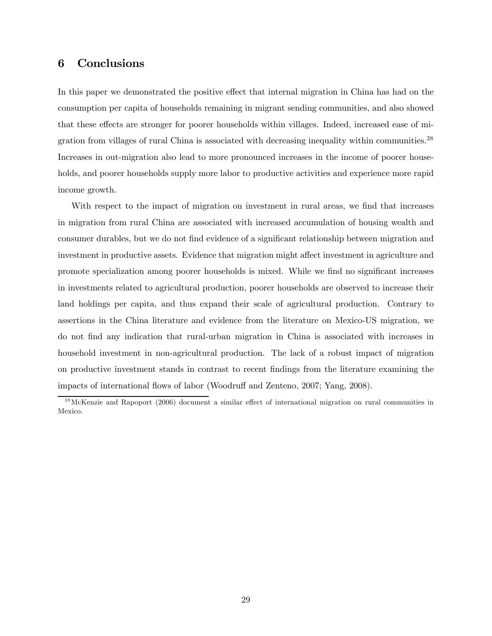## 6 Conclusions

In this paper we demonstrated the positive effect that internal migration in China has had on the consumption per capita of households remaining in migrant sending communities, and also showed that these effects are stronger for poorer households within villages. Indeed, increased ease of migration from villages of rural China is associated with decreasing inequality within communities.<sup>38</sup> Increases in out-migration also lead to more pronounced increases in the income of poorer households, and poorer households supply more labor to productive activities and experience more rapid income growth.

With respect to the impact of migration on investment in rural areas, we find that increases in migration from rural China are associated with increased accumulation of housing wealth and consumer durables, but we do not find evidence of a significant relationship between migration and investment in productive assets. Evidence that migration might affect investment in agriculture and promote specialization among poorer households is mixed. While we find no significant increases in investments related to agricultural production, poorer households are observed to increase their land holdings per capita, and thus expand their scale of agricultural production. Contrary to assertions in the China literature and evidence from the literature on Mexico-US migration, we do not find any indication that rural-urban migration in China is associated with increases in household investment in non-agricultural production. The lack of a robust impact of migration on productive investment stands in contrast to recent findings from the literature examining the impacts of international flows of labor (Woodruff and Zenteno, 2007; Yang, 2008).

<sup>&</sup>lt;sup>38</sup>McKenzie and Rapoport (2006) document a similar effect of international migration on rural communities in Mexico.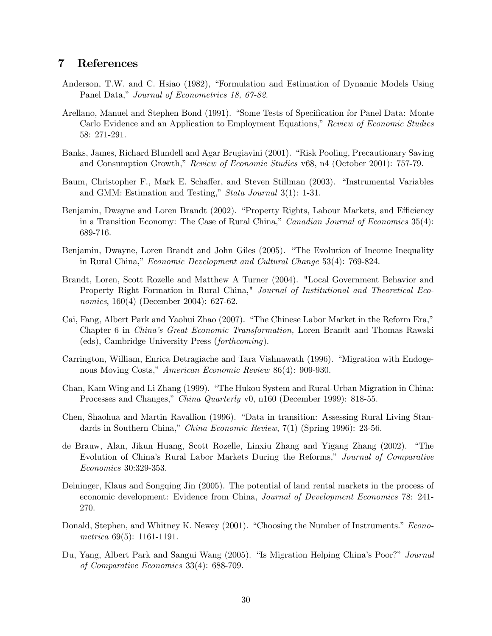## 7 References

- Anderson, T.W. and C. Hsiao (1982), "Formulation and Estimation of Dynamic Models Using Panel Data," Journal of Econometrics 18, 67-82.
- Arellano, Manuel and Stephen Bond (1991). "Some Tests of Specification for Panel Data: Monte Carlo Evidence and an Application to Employment Equations," Review of Economic Studies 58: 271-291.
- Banks, James, Richard Blundell and Agar Brugiavini (2001). "Risk Pooling, Precautionary Saving and Consumption Growth," Review of Economic Studies v68, n4 (October 2001): 757-79.
- Baum, Christopher F., Mark E. Schaffer, and Steven Stillman (2003). "Instrumental Variables and GMM: Estimation and Testing," Stata Journal 3(1): 1-31.
- Benjamin, Dwayne and Loren Brandt (2002). "Property Rights, Labour Markets, and Efficiency in a Transition Economy: The Case of Rural China," *Canadian Journal of Economics* 35(4): 689-716.
- Benjamin, Dwayne, Loren Brandt and John Giles (2005). "The Evolution of Income Inequality in Rural China," Economic Development and Cultural Change 53(4): 769-824.
- Brandt, Loren, Scott Rozelle and Matthew A Turner (2004). "Local Government Behavior and Property Right Formation in Rural China," Journal of Institutional and Theoretical Economics, 160(4) (December 2004): 627-62.
- Cai, Fang, Albert Park and Yaohui Zhao (2007). "The Chinese Labor Market in the Reform Era," Chapter 6 in China's Great Economic Transformation, Loren Brandt and Thomas Rawski (eds), Cambridge University Press (forthcoming).
- Carrington, William, Enrica Detragiache and Tara Vishnawath (1996). "Migration with Endogenous Moving Costs," American Economic Review 86(4): 909-930.
- Chan, Kam Wing and Li Zhang (1999). "The Hukou System and Rural-Urban Migration in China: Processes and Changes," China Quarterly v0, n160 (December 1999): 818-55.
- Chen, Shaohua and Martin Ravallion (1996). "Data in transition: Assessing Rural Living Standards in Southern China," China Economic Review, 7(1) (Spring 1996): 23-56.
- de Brauw, Alan, Jikun Huang, Scott Rozelle, Linxiu Zhang and Yigang Zhang (2002). "The Evolution of China's Rural Labor Markets During the Reforms," Journal of Comparative Economics 30:329-353.
- Deininger, Klaus and Songqing Jin (2005). The potential of land rental markets in the process of economic development: Evidence from China, Journal of Development Economics 78: 241- 270.
- Donald, Stephen, and Whitney K. Newey (2001). "Choosing the Number of Instruments." Econometrica 69(5): 1161-1191.
- Du, Yang, Albert Park and Sangui Wang (2005). "Is Migration Helping China's Poor?" Journal of Comparative Economics 33(4): 688-709.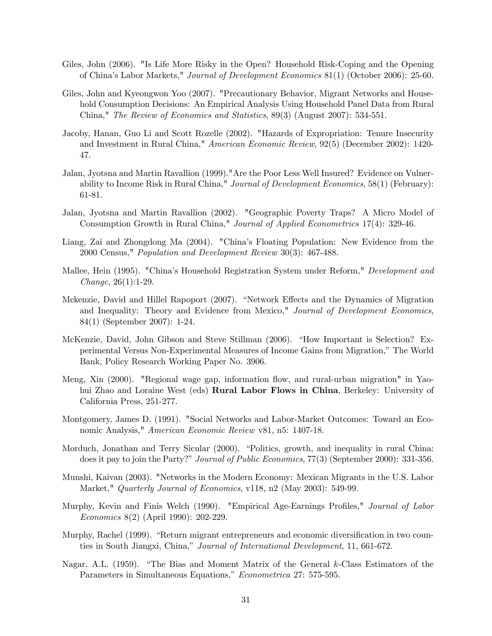- Giles, John (2006). "Is Life More Risky in the Open? Household Risk-Coping and the Opening of China's Labor Markets," Journal of Development Economics 81(1) (October 2006): 25-60.
- Giles, John and Kyeongwon Yoo (2007). "Precautionary Behavior, Migrant Networks and Household Consumption Decisions: An Empirical Analysis Using Household Panel Data from Rural China," The Review of Economics and Statistics, 89(3) (August 2007): 534-551.
- Jacoby, Hanan, Guo Li and Scott Rozelle (2002). "Hazards of Expropriation: Tenure Insecurity and Investment in Rural China," American Economic Review, 92(5) (December 2002): 1420- 47.
- Jalan, Jyotsna and Martin Ravallion (1999)."Are the Poor Less Well Insured? Evidence on Vulnerability to Income Risk in Rural China," Journal of Development Economics, 58(1) (February): 61-81.
- Jalan, Jyotsna and Martin Ravallion (2002). "Geographic Poverty Traps? A Micro Model of Consumption Growth in Rural China," Journal of Applied Econometrics 17(4): 329-46.
- Liang, Zai and Zhongdong Ma (2004). "China's Floating Population: New Evidence from the 2000 Census," Population and Development Review 30(3): 467-488.
- Mallee, Hein (1995). "China's Household Registration System under Reform," Development and Change, 26(1):1-29.
- Mckenzie, David and Hillel Rapoport (2007). "Network Effects and the Dynamics of Migration and Inequality: Theory and Evidence from Mexico," Journal of Development Economics, 84(1) (September 2007): 1-24.
- McKenzie, David, John Gibson and Steve Stillman (2006). "How Important is Selection? Experimental Versus Non-Experimental Measures of Income Gains from Migration," The World Bank, Policy Research Working Paper No. 3906.
- Meng, Xin (2000). "Regional wage gap, information flow, and rural-urban migration" in Yaohui Zhao and Loraine West (eds) Rural Labor Flows in China, Berkeley: University of California Press, 251-277.
- Montgomery, James D. (1991). "Social Networks and Labor-Market Outcomes: Toward an Economic Analysis," American Economic Review v81, n5: 1407-18.
- Morduch, Jonathan and Terry Sicular (2000). "Politics, growth, and inequality in rural China: does it pay to join the Party?" *Journal of Public Economics*, 77(3) (September 2000): 331-356.
- Munshi, Kaivan (2003). "Networks in the Modern Economy: Mexican Migrants in the U.S. Labor Market," Quarterly Journal of Economics, v118, n2 (May 2003): 549-99.
- Murphy, Kevin and Finis Welch (1990). "Empirical Age-Earnings Profiles," Journal of Labor Economics 8(2) (April 1990): 202-229.
- Murphy, Rachel (1999). "Return migrant entrepreneurs and economic diversification in two counties in South Jiangxi, China," Journal of International Development, 11, 661-672.
- Nagar, A.L. (1959). "The Bias and Moment Matrix of the General k-Class Estimators of the Parameters in Simultaneous Equations," Econometrica 27: 575-595.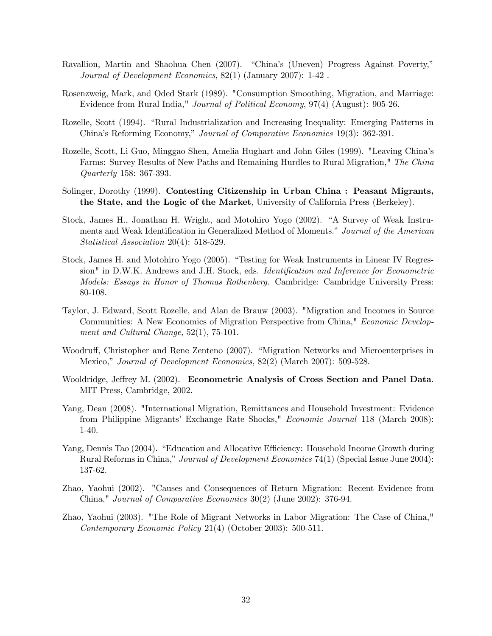- Ravallion, Martin and Shaohua Chen (2007). "China's (Uneven) Progress Against Poverty," Journal of Development Economics, 82(1) (January 2007): 1-42 .
- Rosenzweig, Mark, and Oded Stark (1989). "Consumption Smoothing, Migration, and Marriage: Evidence from Rural India," Journal of Political Economy, 97(4) (August): 905-26.
- Rozelle, Scott (1994). "Rural Industrialization and Increasing Inequality: Emerging Patterns in China's Reforming Economy," Journal of Comparative Economics 19(3): 362-391.
- Rozelle, Scott, Li Guo, Minggao Shen, Amelia Hughart and John Giles (1999). "Leaving China's Farms: Survey Results of New Paths and Remaining Hurdles to Rural Migration," The China Quarterly 158: 367-393.
- Solinger, Dorothy (1999). Contesting Citizenship in Urban China : Peasant Migrants, the State, and the Logic of the Market, University of California Press (Berkeley).
- Stock, James H., Jonathan H. Wright, and Motohiro Yogo (2002). "A Survey of Weak Instruments and Weak Identification in Generalized Method of Moments." Journal of the American Statistical Association 20(4): 518-529.
- Stock, James H. and Motohiro Yogo (2005). "Testing for Weak Instruments in Linear IV Regression" in D.W.K. Andrews and J.H. Stock, eds. Identification and Inference for Econometric Models: Essays in Honor of Thomas Rothenberg. Cambridge: Cambridge University Press: 80-108.
- Taylor, J. Edward, Scott Rozelle, and Alan de Brauw (2003). "Migration and Incomes in Source Communities: A New Economics of Migration Perspective from China," Economic Development and Cultural Change, 52(1), 75-101.
- Woodruff, Christopher and Rene Zenteno (2007). "Migration Networks and Microenterprises in Mexico," Journal of Development Economics, 82(2) (March 2007): 509-528.
- Wooldridge, Jeffrey M. (2002). Econometric Analysis of Cross Section and Panel Data. MIT Press, Cambridge, 2002.
- Yang, Dean (2008). "International Migration, Remittances and Household Investment: Evidence from Philippine Migrants' Exchange Rate Shocks," Economic Journal 118 (March 2008): 1-40.
- Yang, Dennis Tao (2004). "Education and Allocative Efficiency: Household Income Growth during Rural Reforms in China," Journal of Development Economics 74(1) (Special Issue June 2004): 137-62.
- Zhao, Yaohui (2002). "Causes and Consequences of Return Migration: Recent Evidence from China," Journal of Comparative Economics 30(2) (June 2002): 376-94.
- Zhao, Yaohui (2003). "The Role of Migrant Networks in Labor Migration: The Case of China," Contemporary Economic Policy 21(4) (October 2003): 500-511.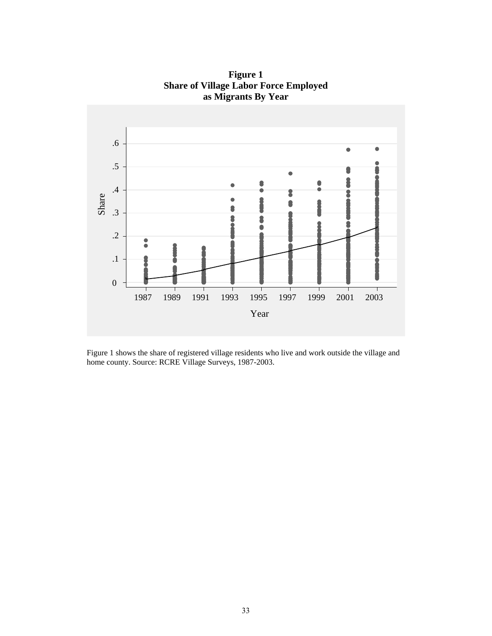

**Figure 1 Share of Village Labor Force Employed as Migrants By Year** 

Figure 1 shows the share of registered village residents who live and work outside the village and home county. Source: RCRE Village Surveys, 1987-2003.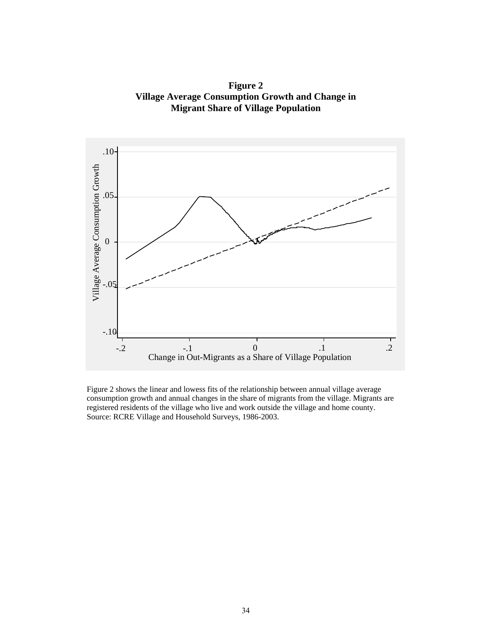**Figure 2 Village Average Consumption Growth and Change in Migrant Share of Village Population** 



Figure 2 shows the linear and lowess fits of the relationship between annual village average consumption growth and annual changes in the share of migrants from the village. Migrants are registered residents of the village who live and work outside the village and home county. Source: RCRE Village and Household Surveys, 1986-2003.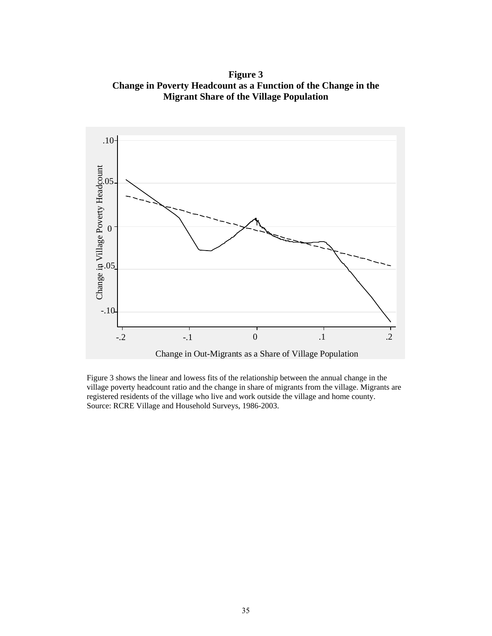**Figure 3 Change in Poverty Headcount as a Function of the Change in the Migrant Share of the Village Population** 



Figure 3 shows the linear and lowess fits of the relationship between the annual change in the village poverty headcount ratio and the change in share of migrants from the village. Migrants are registered residents of the village who live and work outside the village and home county. Source: RCRE Village and Household Surveys, 1986-2003.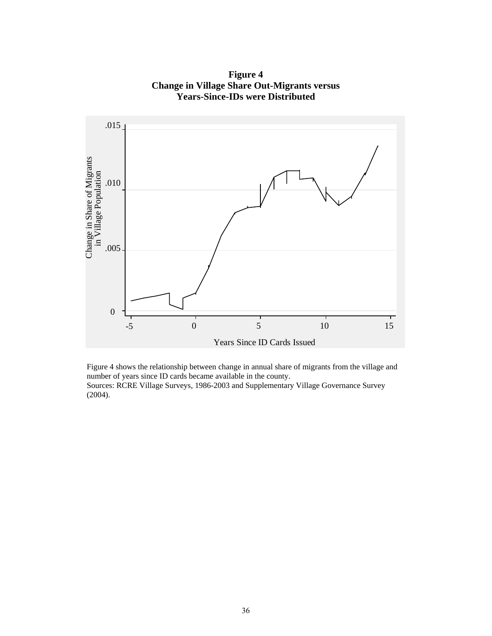![](_page_36_Figure_0.jpeg)

**Figure 4 Change in Village Share Out-Migrants versus Years-Since-IDs were Distributed** 

Figure 4 shows the relationship between change in annual share of migrants from the village and number of years since ID cards became available in the county. Sources: RCRE Village Surveys, 1986-2003 and Supplementary Village Governance Survey (2004).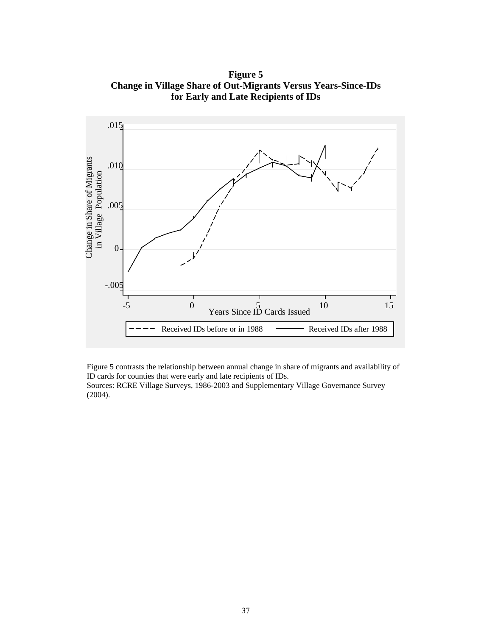**Figure 5 Change in Village Share of Out-Migrants Versus Years-Since-IDs for Early and Late Recipients of IDs**

![](_page_37_Figure_1.jpeg)

Figure 5 contrasts the relationship between annual change in share of migrants and availability of ID cards for counties that were early and late recipients of IDs.

Sources: RCRE Village Surveys, 1986-2003 and Supplementary Village Governance Survey (2004).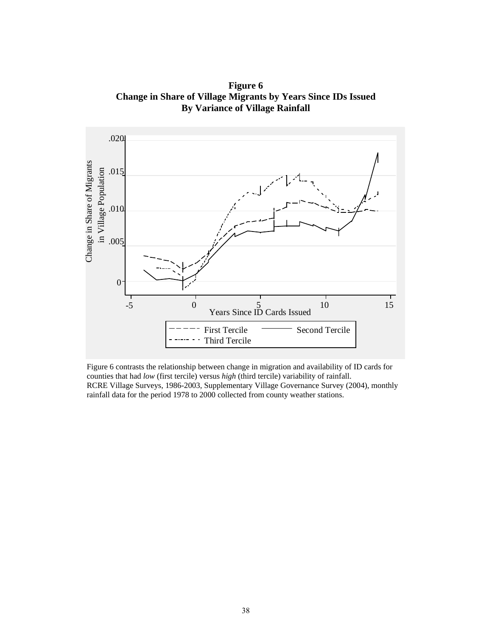**Figure 6 Change in Share of Village Migrants by Years Since IDs Issued By Variance of Village Rainfall** 

![](_page_38_Figure_1.jpeg)

Figure 6 contrasts the relationship between change in migration and availability of ID cards for counties that had *low* (first tercile) versus *high* (third tercile) variability of rainfall. RCRE Village Surveys, 1986-2003, Supplementary Village Governance Survey (2004), monthly rainfall data for the period 1978 to 2000 collected from county weather stations.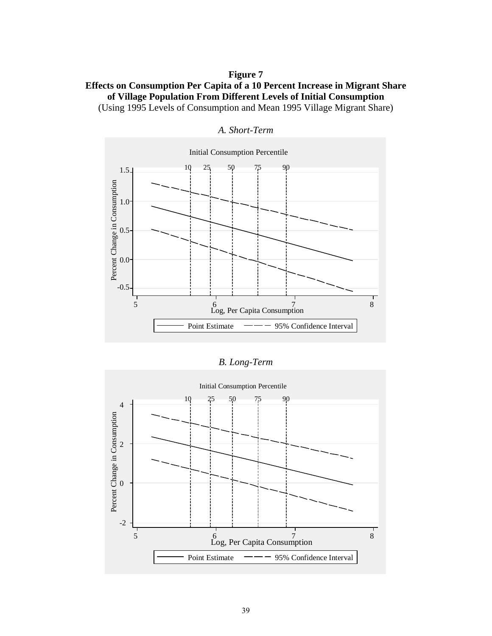## **Figure 7**

## **Effects on Consumption Per Capita of a 10 Percent Increase in Migrant Share of Village Population From Different Levels of Initial Consumption**  (Using 1995 Levels of Consumption and Mean 1995 Village Migrant Share)

![](_page_39_Figure_2.jpeg)

*A. Short-Term* 

| B. Long-Term |  |
|--------------|--|
|              |  |

![](_page_39_Figure_5.jpeg)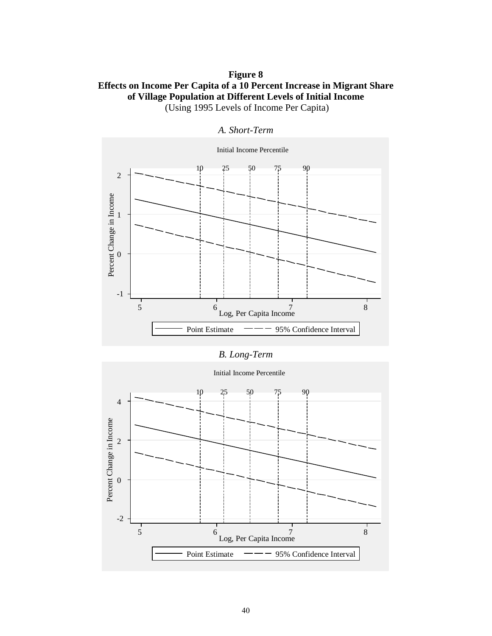## **Figure 8 Effects on Income Per Capita of a 10 Percent Increase in Migrant Share of Village Population at Different Levels of Initial Income**  (Using 1995 Levels of Income Per Capita)

## Initial Income Percentile 10 50 25 75 90 2 Percent Change in Income Percent Change in Income 1 0 -1 5 6 7 8 Log, Per Capita Income Point Estimate  $\frac{20}{100}$  - 95% Confidence Interval

## *A. Short-Term*

## *B. Long-Term*

# 10 25 50 75 90 4 Percent Change in Income Percent Change in Income 2 0 -2 5 6 6 7 8 8 1 8 8 1 8 1 8 8 1 8 8 1 8 8 1 8 8 1 8 8 1 8 8 1 8 8 1 8 8 1 8 8 1 8 1 8 1 8 1 8 1 8 1 8 1 8 1 8 1 8 1 8 1 8 1 8 1 8 1 8 1 8 1 8 1 8 1 8 1 8 1 8 1 8 1 8 1 8 1 8 1 8 1 8 1 8 1 8 1 8 1 8 1 8 1 8 1 8 1 8 1 8 1 8 1 Point Estimate  $\rightarrow$  95% Confidence Interval

#### Initial Income Percentile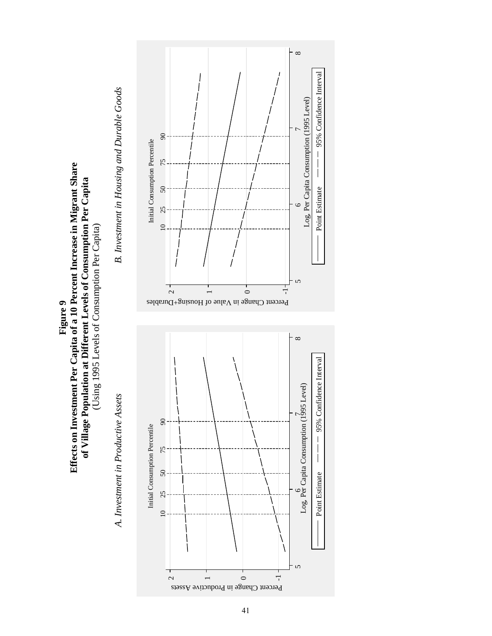![](_page_41_Figure_0.jpeg)

![](_page_41_Figure_1.jpeg)

41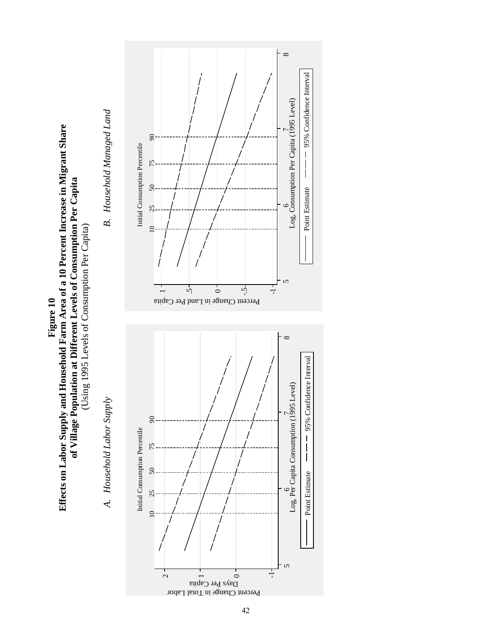![](_page_42_Figure_0.jpeg)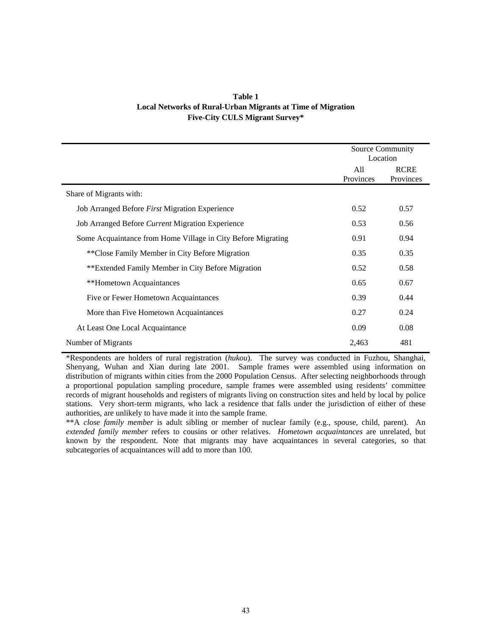| Table 1                                                     |
|-------------------------------------------------------------|
| Local Networks of Rural-Urban Migrants at Time of Migration |
| <b>Five-City CULS Migrant Survey*</b>                       |

|                                                              | Source Community | Location                 |
|--------------------------------------------------------------|------------------|--------------------------|
|                                                              | All<br>Provinces | <b>RCRE</b><br>Provinces |
| Share of Migrants with:                                      |                  |                          |
| Job Arranged Before First Migration Experience               | 0.52             | 0.57                     |
| Job Arranged Before Current Migration Experience             | 0.53             | 0.56                     |
| Some Acquaintance from Home Village in City Before Migrating | 0.91             | 0.94                     |
| **Close Family Member in City Before Migration               | 0.35             | 0.35                     |
| **Extended Family Member in City Before Migration            | 0.52             | 0.58                     |
| **Hometown Acquaintances                                     | 0.65             | 0.67                     |
| Five or Fewer Hometown Acquaintances                         | 0.39             | 0.44                     |
| More than Five Hometown Acquaintances                        | 0.27             | 0.24                     |
| At Least One Local Acquaintance                              | 0.09             | 0.08                     |
| Number of Migrants                                           | 2,463            | 481                      |

\*Respondents are holders of rural registration (*hukou*). The survey was conducted in Fuzhou, Shanghai, Shenyang, Wuhan and Xian during late 2001. Sample frames were assembled using information on distribution of migrants within cities from the 2000 Population Census. After selecting neighborhoods through a proportional population sampling procedure, sample frames were assembled using residents' committee records of migrant households and registers of migrants living on construction sites and held by local by police stations. Very short-term migrants, who lack a residence that falls under the jurisdiction of either of these authorities, are unlikely to have made it into the sample frame.

\*\*A *close family member* is adult sibling or member of nuclear family (e.g., spouse, child, parent). An *extended family member* refers to cousins or other relatives. *Hometown acquaintances* are unrelated, but known by the respondent. Note that migrants may have acquaintances in several categories, so that subcategories of acquaintances will add to more than 100.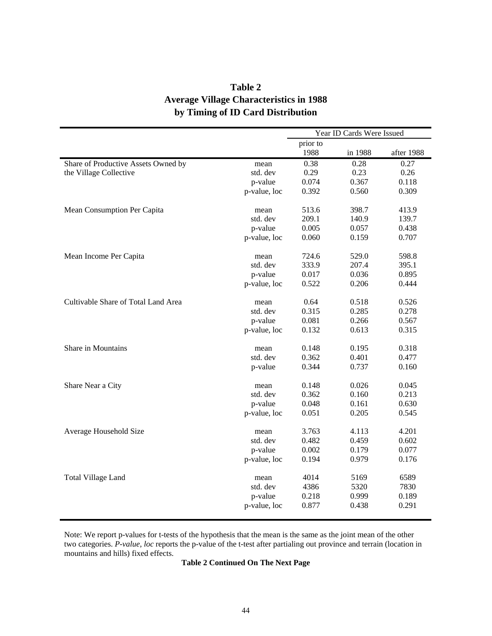## **Table 2 Average Village Characteristics in 1988 by Timing of ID Card Distribution**

|                                     |              |          | Year ID Cards Were Issued |            |
|-------------------------------------|--------------|----------|---------------------------|------------|
|                                     |              | prior to |                           |            |
|                                     |              | 1988     | in 1988                   | after 1988 |
| Share of Productive Assets Owned by | mean         | 0.38     | 0.28                      | 0.27       |
| the Village Collective              | std. dev     | 0.29     | 0.23                      | 0.26       |
|                                     | p-value      | 0.074    | 0.367                     | 0.118      |
|                                     | p-value, loc | 0.392    | 0.560                     | 0.309      |
| Mean Consumption Per Capita         | mean         | 513.6    | 398.7                     | 413.9      |
|                                     | std. dev     | 209.1    | 140.9                     | 139.7      |
|                                     | p-value      | 0.005    | 0.057                     | 0.438      |
|                                     | p-value, loc | 0.060    | 0.159                     | 0.707      |
| Mean Income Per Capita              | mean         | 724.6    | 529.0                     | 598.8      |
|                                     | std. dev     | 333.9    | 207.4                     | 395.1      |
|                                     | p-value      | 0.017    | 0.036                     | 0.895      |
|                                     | p-value, loc | 0.522    | 0.206                     | 0.444      |
| Cultivable Share of Total Land Area | mean         | 0.64     | 0.518                     | 0.526      |
|                                     | std. dev     | 0.315    | 0.285                     | 0.278      |
|                                     | p-value      | 0.081    | 0.266                     | 0.567      |
|                                     | p-value, loc | 0.132    | 0.613                     | 0.315      |
| Share in Mountains                  | mean         | 0.148    | 0.195                     | 0.318      |
|                                     | std. dev     | 0.362    | 0.401                     | 0.477      |
|                                     | p-value      | 0.344    | 0.737                     | 0.160      |
| Share Near a City                   | mean         | 0.148    | 0.026                     | 0.045      |
|                                     | std. dev     | 0.362    | 0.160                     | 0.213      |
|                                     | p-value      | 0.048    | 0.161                     | 0.630      |
|                                     | p-value, loc | 0.051    | 0.205                     | 0.545      |
| Average Household Size              | mean         | 3.763    | 4.113                     | 4.201      |
|                                     | std. dev     | 0.482    | 0.459                     | 0.602      |
|                                     | p-value      | 0.002    | 0.179                     | 0.077      |
|                                     | p-value, loc | 0.194    | 0.979                     | 0.176      |
| <b>Total Village Land</b>           | mean         | 4014     | 5169                      | 6589       |
|                                     | std. dev     | 4386     | 5320                      | 7830       |
|                                     | p-value      | 0.218    | 0.999                     | 0.189      |
|                                     | p-value, loc | 0.877    | 0.438                     | 0.291      |

Note: We report p-values for t-tests of the hypothesis that the mean is the same as the joint mean of the other two categories. *P-value, loc* reports the p-value of the t-test after partialing out province and terrain (location in mountains and hills) fixed effects.

## **Table 2 Continued On The Next Page**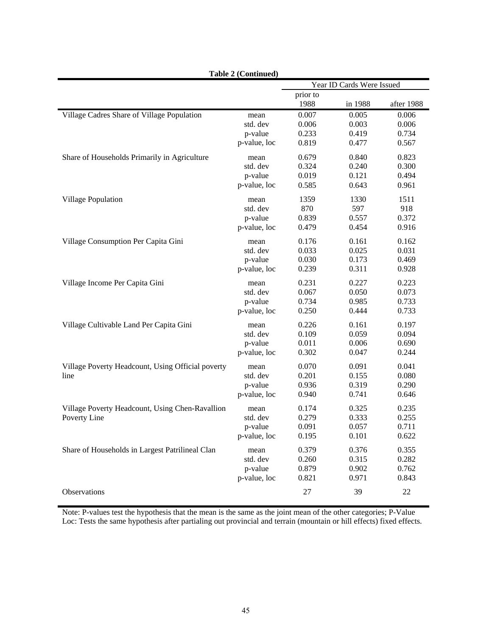|                                                   | Table 2 (Continued) |          |                           |            |
|---------------------------------------------------|---------------------|----------|---------------------------|------------|
|                                                   |                     |          | Year ID Cards Were Issued |            |
|                                                   |                     | prior to |                           |            |
|                                                   |                     | 1988     | in 1988                   | after 1988 |
| Village Cadres Share of Village Population        | mean                | 0.007    | 0.005                     | 0.006      |
|                                                   | std. dev            | 0.006    | 0.003                     | 0.006      |
|                                                   | p-value             | 0.233    | 0.419                     | 0.734      |
|                                                   | p-value, loc        | 0.819    | 0.477                     | 0.567      |
| Share of Households Primarily in Agriculture      | mean                | 0.679    | 0.840                     | 0.823      |
|                                                   | std. dev            | 0.324    | 0.240                     | 0.300      |
|                                                   | p-value             | 0.019    | 0.121                     | 0.494      |
|                                                   | p-value, loc        | 0.585    | 0.643                     | 0.961      |
| <b>Village Population</b>                         | mean                | 1359     | 1330                      | 1511       |
|                                                   | std. dev            | 870      | 597                       | 918        |
|                                                   | p-value             | 0.839    | 0.557                     | 0.372      |
|                                                   | p-value, loc        | 0.479    | 0.454                     | 0.916      |
| Village Consumption Per Capita Gini               | mean                | 0.176    | 0.161                     | 0.162      |
|                                                   | std. dev            | 0.033    | 0.025                     | 0.031      |
|                                                   | p-value             | 0.030    | 0.173                     | 0.469      |
|                                                   | p-value, loc        | 0.239    | 0.311                     | 0.928      |
| Village Income Per Capita Gini                    | mean                | 0.231    | 0.227                     | 0.223      |
|                                                   | std. dev            | 0.067    | 0.050                     | 0.073      |
|                                                   | p-value             | 0.734    | 0.985                     | 0.733      |
|                                                   | p-value, loc        | 0.250    | 0.444                     | 0.733      |
| Village Cultivable Land Per Capita Gini           | mean                | 0.226    | 0.161                     | 0.197      |
|                                                   | std. dev            | 0.109    | 0.059                     | 0.094      |
|                                                   | p-value             | 0.011    | 0.006                     | 0.690      |
|                                                   | p-value, loc        | 0.302    | 0.047                     | 0.244      |
| Village Poverty Headcount, Using Official poverty | mean                | 0.070    | 0.091                     | 0.041      |
| line                                              | std. dev            | 0.201    | 0.155                     | 0.080      |
|                                                   | p-value             | 0.936    | 0.319                     | 0.290      |
|                                                   | p-value, loc        | 0.940    | 0.741                     | 0.646      |
| Village Poverty Headcount, Using Chen-Ravallion   | mean                | 0.174    | 0.325                     | 0.235      |
| Poverty Line                                      | std. dev            | 0.279    | 0.333                     | 0.255      |
|                                                   | p-value             | 0.091    | 0.057                     | 0.711      |
|                                                   | p-value, loc        | 0.195    | 0.101                     | 0.622      |
| Share of Households in Largest Patrilineal Clan   | mean                | 0.379    | 0.376                     | 0.355      |
|                                                   | std. dev            | 0.260    | 0.315                     | 0.282      |
|                                                   | p-value             | 0.879    | 0.902                     | 0.762      |
|                                                   | p-value, loc        | 0.821    | 0.971                     | 0.843      |
| Observations                                      |                     | $27\,$   | 39                        | $22\,$     |

**Table 2 (Continued)** 

Note: P-values test the hypothesis that the mean is the same as the joint mean of the other categories; P-Value Loc: Tests the same hypothesis after partialing out provincial and terrain (mountain or hill effects) fixed effects.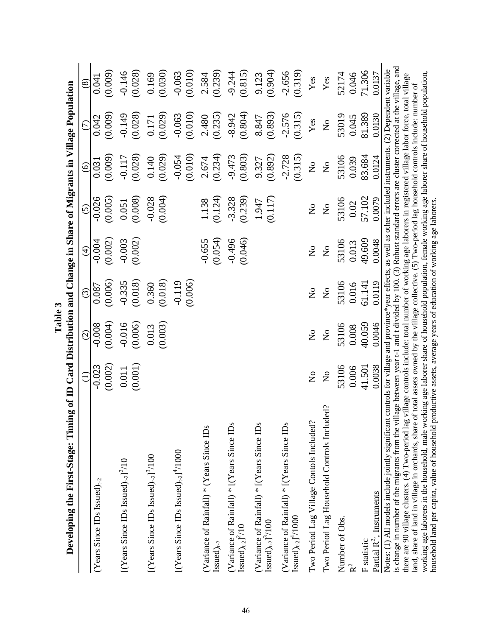| Developing the First-Stage: Timing of ID Card Distribution and Change in Share of Migrants in Village Population                                                                                                                                                                                                                                                                                                                                                                                                                                                                                                                                                                                                                                                                                                                                                                     |                                                                        |                                |                                |                               |                                |                           |                                |                       |
|--------------------------------------------------------------------------------------------------------------------------------------------------------------------------------------------------------------------------------------------------------------------------------------------------------------------------------------------------------------------------------------------------------------------------------------------------------------------------------------------------------------------------------------------------------------------------------------------------------------------------------------------------------------------------------------------------------------------------------------------------------------------------------------------------------------------------------------------------------------------------------------|------------------------------------------------------------------------|--------------------------------|--------------------------------|-------------------------------|--------------------------------|---------------------------|--------------------------------|-----------------------|
|                                                                                                                                                                                                                                                                                                                                                                                                                                                                                                                                                                                                                                                                                                                                                                                                                                                                                      | $\ominus$                                                              | $\widehat{\odot}$              | $\odot$                        | $\widehat{\mathcal{F}}$       | $\widehat{c}$                  | $\odot$                   | $\widehat{C}$                  | $\circledS$           |
| (Years Since IDs Issued) $_{t-2}$                                                                                                                                                                                                                                                                                                                                                                                                                                                                                                                                                                                                                                                                                                                                                                                                                                                    | (0.002)<br>$-0.023$                                                    | (0.004)<br>$-0.008$            | (0.006)<br>0.087               | (0.002)<br>$-0.004$           | $-0.026$<br>(0.005)            | (0.009)<br>0.031          | (0.009)<br>0.042               | (0.009)<br>0.041      |
| [(Years Since IDs Issued) <sub>t-2</sub> ] <sup>2</sup> /10                                                                                                                                                                                                                                                                                                                                                                                                                                                                                                                                                                                                                                                                                                                                                                                                                          | (0.001)<br>0.011                                                       | $-0.016$<br>(0.006)            | (0.018)<br>$-0.335$            | (0.002)<br>$-0.003$           | (0.008)<br>0.051               | (0.028)<br>$-0.117$       | (0.028)<br>$-0.149$            | (0.028)<br>$-0.146$   |
| [(Years Since IDs Issued) $_{t+2}$ ] <sup>3</sup> /100                                                                                                                                                                                                                                                                                                                                                                                                                                                                                                                                                                                                                                                                                                                                                                                                                               |                                                                        | (0.003)<br>0.013               | (0.018)<br>0.360               |                               | (0.004)<br>$-0.028$            | (0.029)<br>0.140          | (0.029)<br>0.171               | (0.030)<br>0.169      |
| [(Years Since IDs Issued) $_{t+2}$ ] <sup>4</sup> /1000                                                                                                                                                                                                                                                                                                                                                                                                                                                                                                                                                                                                                                                                                                                                                                                                                              |                                                                        |                                | $-0.119$<br>(0.006)            |                               |                                | (0.010)<br>$-0.054$       | (0.010)<br>$-0.063$            | $-0.063$<br>$(0.010)$ |
| (Variance of Rainfall) * (Years Since IDs<br>$\text{Isused}\right)_{t\text{-}2}$                                                                                                                                                                                                                                                                                                                                                                                                                                                                                                                                                                                                                                                                                                                                                                                                     |                                                                        |                                |                                | $-0.655$<br>(0.054)           | (0.124)<br>1.138               | (0.234)<br>2.674          | (0.235)<br>2.480               | (0.239)<br>2.584      |
| (Variance of Rainfall) * [(Years Since IDs<br>$\text{Isused})_{t\text{-}2}$ <sup>2</sup> /10                                                                                                                                                                                                                                                                                                                                                                                                                                                                                                                                                                                                                                                                                                                                                                                         |                                                                        |                                |                                | $-0.496$<br>(0.046)           | (0.239)<br>$-3.328$            | (0.803)<br>$-9.473$       | (0.804)<br>$-8.942$            | (0.815)<br>$-9.244$   |
| (Variance of Rainfall) * [(Years Since IDs<br>$Isued)_{t-2}$ ] <sup>3</sup> /100                                                                                                                                                                                                                                                                                                                                                                                                                                                                                                                                                                                                                                                                                                                                                                                                     |                                                                        |                                |                                |                               | $1.947$<br>(0.117)             | (0.892)<br>9.327          | (0.893)<br>8.847               | $9.123$<br>$(0.904)$  |
| (Variance of Rainfall) * [(Years Since IDs<br>$\text{Isused})_{t\text{-}2}$ <sup>4</sup> /1000                                                                                                                                                                                                                                                                                                                                                                                                                                                                                                                                                                                                                                                                                                                                                                                       |                                                                        |                                |                                |                               |                                | $-2.728$<br>(0.315)       | $-2.576$<br>(0.315)            | (0.319)<br>$-2.656$   |
| Two Period Lag Village Contols Included?                                                                                                                                                                                                                                                                                                                                                                                                                                                                                                                                                                                                                                                                                                                                                                                                                                             | $\stackrel{\circ}{\mathsf{Z}}$                                         | $\overset{\circ}{\mathbf{Z}}$  | $\mathsf{S}^{\mathsf{O}}$      | $\overset{\circ}{\mathbf{Z}}$ | $\mathsf{S}^{\mathsf{O}}$      | $\mathop{\mathsf{S}}$     | $\mathbf{Yes}$                 | $\mathbf{Yes}$        |
| Two Period Lag Household Controls Included?                                                                                                                                                                                                                                                                                                                                                                                                                                                                                                                                                                                                                                                                                                                                                                                                                                          | $\stackrel{\mathtt{o}}{\mathtt{z}}$                                    | $\mathop{\mathsf{S}}\nolimits$ | $\mathop{\mathsf{S}}\nolimits$ | $\rm \stackrel{\circ}{Z}$     | $\mathop{\mathsf{S}}\nolimits$ | $\mathsf{S}^{\mathsf{O}}$ | $\stackrel{\circ}{\mathsf{Z}}$ | $\mathbf{Yes}$        |
| Number of Obs.<br>$R^2$                                                                                                                                                                                                                                                                                                                                                                                                                                                                                                                                                                                                                                                                                                                                                                                                                                                              | 53106<br>0.006                                                         | 53106<br>0.008                 | 53106<br>0.016                 | 53106<br>0.013                | 53106<br>0.02                  | 53106<br>0.039            | 53019<br>0.045                 | 52174<br>0.046        |
| Partial $R^2$ , Instruments<br>F statistic                                                                                                                                                                                                                                                                                                                                                                                                                                                                                                                                                                                                                                                                                                                                                                                                                                           | 41.501<br>0.0038                                                       | 40.059<br>0.0046               | 61.141<br>0.0119               | 49.609<br>0.0048              | 57.102<br>0.0079               | 83.684<br>0.0124          | 81.389<br>0.0130               | 71.306<br>0.0137      |
| is change in number of the migrants from the village between year t-1 and t divided by 100. (3) Robust standard errors are cluster corrected at the village, and<br>Notes: (1) All models include jointly significant controls for village and province*year effects, as well as other included instruments. (2) Dependent variable<br>working age laborers in the household, male working age laborer share of household population, female working age laborer share of household population,<br>there are 90 village clusters. (4) Two-period lag village controls include: total number of working age laborers in registered village labor force, total village<br>land, share of land in village in orchards, share of total assets owned by the village collective. (5) Two-period lag household controls include: number of<br>household land per capita, value of household | productive assets, average years of education of working age laborers. |                                |                                |                               |                                |                           |                                |                       |

י<br>ק **Table 3**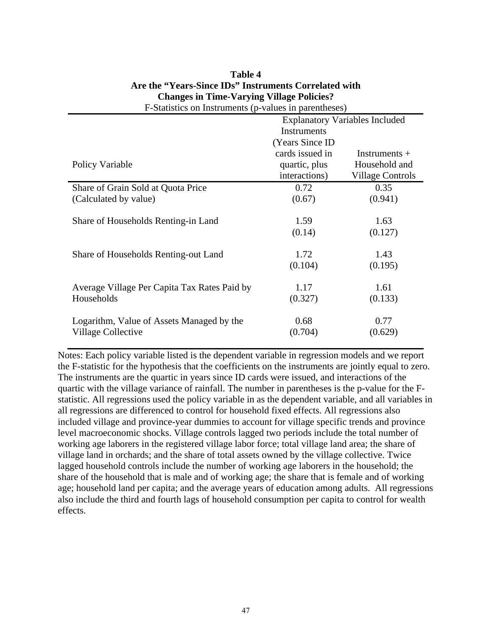| $\beta$ and $\beta$ on thou and $\beta$ ( $\beta$ ) and $\beta$ in particular $\beta$ |                                       |                  |  |  |
|---------------------------------------------------------------------------------------|---------------------------------------|------------------|--|--|
|                                                                                       | <b>Explanatory Variables Included</b> |                  |  |  |
|                                                                                       | Instruments                           |                  |  |  |
|                                                                                       | (Years Since ID)                      |                  |  |  |
|                                                                                       | cards issued in                       | Instruments $+$  |  |  |
| Policy Variable                                                                       | quartic, plus                         | Household and    |  |  |
|                                                                                       | interactions)                         | Village Controls |  |  |
| Share of Grain Sold at Quota Price                                                    | 0.72                                  | 0.35             |  |  |
| (Calculated by value)                                                                 | (0.67)                                | (0.941)          |  |  |
|                                                                                       |                                       |                  |  |  |
| Share of Households Renting-in Land                                                   | 1.59                                  | 1.63             |  |  |
|                                                                                       | (0.14)                                | (0.127)          |  |  |
|                                                                                       |                                       |                  |  |  |
| Share of Households Renting-out Land                                                  | 1.72                                  | 1.43             |  |  |
|                                                                                       | (0.104)                               | (0.195)          |  |  |
|                                                                                       |                                       |                  |  |  |
| Average Village Per Capita Tax Rates Paid by                                          | 1.17                                  | 1.61             |  |  |
| Households                                                                            | (0.327)                               | (0.133)          |  |  |
|                                                                                       |                                       |                  |  |  |
| Logarithm, Value of Assets Managed by the                                             | 0.68                                  | 0.77             |  |  |
| Village Collective                                                                    | (0.704)                               | (0.629)          |  |  |
|                                                                                       |                                       |                  |  |  |

## **Table 4 Are the "Years-Since IDs" Instruments Correlated with Changes in Time-Varying Village Policies?**  F-Statistics on Instruments (p-values in parentheses)

Notes: Each policy variable listed is the dependent variable in regression models and we report the F-statistic for the hypothesis that the coefficients on the instruments are jointly equal to zero. The instruments are the quartic in years since ID cards were issued, and interactions of the quartic with the village variance of rainfall. The number in parentheses is the p-value for the Fstatistic. All regressions used the policy variable in as the dependent variable, and all variables in all regressions are differenced to control for household fixed effects. All regressions also included village and province-year dummies to account for village specific trends and province level macroeconomic shocks. Village controls lagged two periods include the total number of working age laborers in the registered village labor force; total village land area; the share of village land in orchards; and the share of total assets owned by the village collective. Twice lagged household controls include the number of working age laborers in the household; the share of the household that is male and of working age; the share that is female and of working age; household land per capita; and the average years of education among adults. All regressions also include the third and fourth lags of household consumption per capita to control for wealth effects.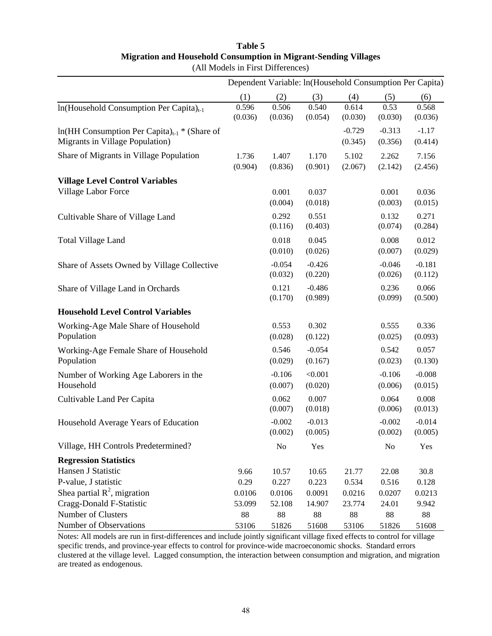## **Table 5 Migration and Household Consumption in Migrant-Sending Villages**

|                                                                                               |                  |                     |                     |                     |                     | Dependent Variable: ln(Household Consumption Per Capita) |
|-----------------------------------------------------------------------------------------------|------------------|---------------------|---------------------|---------------------|---------------------|----------------------------------------------------------|
|                                                                                               | (1)              | (2)                 | (3)                 | (4)                 | (5)                 | (6)                                                      |
| In(Household Consumption Per Capita) <sub>t-1</sub>                                           | 0.596<br>(0.036) | 0.506<br>(0.036)    | 0.540<br>(0.054)    | 0.614<br>(0.030)    | 0.53<br>(0.030)     | 0.568<br>(0.036)                                         |
| $ln(HH$ Consumption Per Capita) <sub>t-1</sub> * (Share of<br>Migrants in Village Population) |                  |                     |                     | $-0.729$<br>(0.345) | $-0.313$<br>(0.356) | $-1.17$<br>(0.414)                                       |
| Share of Migrants in Village Population                                                       | 1.736<br>(0.904) | 1.407<br>(0.836)    | 1.170<br>(0.901)    | 5.102<br>(2.067)    | 2.262<br>(2.142)    | 7.156<br>(2.456)                                         |
| <b>Village Level Control Variables</b>                                                        |                  |                     |                     |                     |                     |                                                          |
| Village Labor Force                                                                           |                  | 0.001<br>(0.004)    | 0.037<br>(0.018)    |                     | 0.001<br>(0.003)    | 0.036<br>(0.015)                                         |
| Cultivable Share of Village Land                                                              |                  | 0.292<br>(0.116)    | 0.551<br>(0.403)    |                     | 0.132<br>(0.074)    | 0.271<br>(0.284)                                         |
| <b>Total Village Land</b>                                                                     |                  | 0.018<br>(0.010)    | 0.045<br>(0.026)    |                     | 0.008<br>(0.007)    | 0.012<br>(0.029)                                         |
| Share of Assets Owned by Village Collective                                                   |                  | $-0.054$<br>(0.032) | $-0.426$<br>(0.220) |                     | $-0.046$<br>(0.026) | $-0.181$<br>(0.112)                                      |
| Share of Village Land in Orchards                                                             |                  | 0.121<br>(0.170)    | $-0.486$<br>(0.989) |                     | 0.236<br>(0.099)    | 0.066<br>(0.500)                                         |
| <b>Household Level Control Variables</b>                                                      |                  |                     |                     |                     |                     |                                                          |
| Working-Age Male Share of Household<br>Population                                             |                  | 0.553<br>(0.028)    | 0.302<br>(0.122)    |                     | 0.555<br>(0.025)    | 0.336<br>(0.093)                                         |
| Working-Age Female Share of Household<br>Population                                           |                  | 0.546<br>(0.029)    | $-0.054$<br>(0.167) |                     | 0.542<br>(0.023)    | 0.057<br>(0.130)                                         |
| Number of Working Age Laborers in the<br>Household                                            |                  | $-0.106$<br>(0.007) | < 0.001<br>(0.020)  |                     | $-0.106$<br>(0.006) | $-0.008$<br>(0.015)                                      |
| Cultivable Land Per Capita                                                                    |                  | 0.062<br>(0.007)    | 0.007<br>(0.018)    |                     | 0.064<br>(0.006)    | 0.008<br>(0.013)                                         |
| Household Average Years of Education                                                          |                  | $-0.002$<br>(0.002) | $-0.013$<br>(0.005) |                     | $-0.002$<br>(0.002) | $-0.014$<br>(0.005)                                      |
| Village, HH Controls Predetermined?                                                           |                  | N <sub>o</sub>      | Yes                 |                     | No                  | Yes                                                      |
| <b>Regression Statistics</b>                                                                  |                  |                     |                     |                     |                     |                                                          |
| Hansen J Statistic                                                                            | 9.66             | 10.57               | 10.65               | 21.77               | 22.08               | 30.8                                                     |
| P-value, J statistic                                                                          | 0.29             | 0.227               | 0.223               | 0.534               | 0.516               | 0.128                                                    |
| Shea partial $\mathbb{R}^2$ , migration                                                       | 0.0106           | 0.0106              | 0.0091              | 0.0216              | 0.0207              | 0.0213                                                   |
| Cragg-Donald F-Statistic                                                                      | 53.099           | 52.108              | 14.907              | 23.774              | 24.01               | 9.942                                                    |
| Number of Clusters                                                                            | 88               | 88                  | 88                  | 88                  | 88                  | 88                                                       |
| Number of Observations                                                                        | 53106            | 51826               | 51608               | 53106               | 51826               | 51608                                                    |

(All Models in First Differences)

Notes: All models are run in first-differences and include jointly significant village fixed effects to control for village specific trends, and province-year effects to control for province-wide macroeconomic shocks. Standard errors clustered at the village level. Lagged consumption, the interaction between consumption and migration, and migration are treated as endogenous.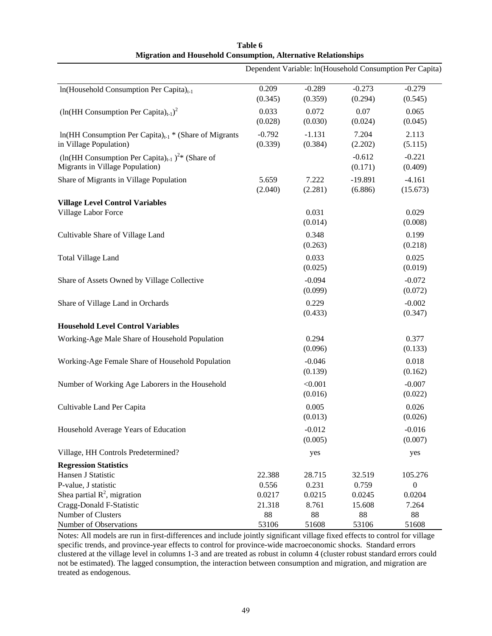|                                                                                                    |                     |                     |                      | Dependent Variable: ln(Household Consumption Per Capita) |
|----------------------------------------------------------------------------------------------------|---------------------|---------------------|----------------------|----------------------------------------------------------|
| In(Household Consumption Per Capita) <sub>t-1</sub>                                                | 0.209<br>(0.345)    | $-0.289$<br>(0.359) | $-0.273$<br>(0.294)  | $-0.279$<br>(0.545)                                      |
| $(ln(HH \text{ Consumption Per Capita})_{t-1})^2$                                                  | 0.033<br>(0.028)    | 0.072<br>(0.030)    | 0.07<br>(0.024)      | 0.065<br>(0.045)                                         |
| $ln(HH$ Consumption Per Capita) <sub>t-1</sub> * (Share of Migrants<br>in Village Population)      | $-0.792$<br>(0.339) | $-1.131$<br>(0.384) | 7.204<br>(2.202)     | 2.113<br>(5.115)                                         |
| $(\ln(HH \text{ Consumption Per Capita})_{t-1})^{2*}$ (Share of<br>Migrants in Village Population) |                     |                     | $-0.612$<br>(0.171)  | $-0.221$<br>(0.409)                                      |
| Share of Migrants in Village Population                                                            | 5.659<br>(2.040)    | 7.222<br>(2.281)    | $-19.891$<br>(6.886) | $-4.161$<br>(15.673)                                     |
| <b>Village Level Control Variables</b><br>Village Labor Force                                      |                     | 0.031<br>(0.014)    |                      | 0.029<br>(0.008)                                         |
| Cultivable Share of Village Land                                                                   |                     | 0.348<br>(0.263)    |                      | 0.199<br>(0.218)                                         |
| <b>Total Village Land</b>                                                                          |                     | 0.033<br>(0.025)    |                      | 0.025<br>(0.019)                                         |
| Share of Assets Owned by Village Collective                                                        |                     | $-0.094$<br>(0.099) |                      | $-0.072$<br>(0.072)                                      |
| Share of Village Land in Orchards                                                                  |                     | 0.229<br>(0.433)    |                      | $-0.002$<br>(0.347)                                      |
| <b>Household Level Control Variables</b>                                                           |                     |                     |                      |                                                          |
| Working-Age Male Share of Household Population                                                     |                     | 0.294<br>(0.096)    |                      | 0.377<br>(0.133)                                         |
| Working-Age Female Share of Household Population                                                   |                     | $-0.046$<br>(0.139) |                      | 0.018<br>(0.162)                                         |
| Number of Working Age Laborers in the Household                                                    |                     | < 0.001<br>(0.016)  |                      | $-0.007$<br>(0.022)                                      |
| Cultivable Land Per Capita                                                                         |                     | 0.005<br>(0.013)    |                      | 0.026<br>(0.026)                                         |
| Household Average Years of Education                                                               |                     | $-0.012$<br>(0.005) |                      | $-0.016$<br>(0.007)                                      |
| Village, HH Controls Predetermined?                                                                |                     | yes                 |                      | yes                                                      |
| <b>Regression Statistics</b>                                                                       |                     |                     |                      |                                                          |
| Hansen J Statistic                                                                                 | 22.388              | 28.715              | 32.519               | 105.276                                                  |
| P-value, J statistic                                                                               | 0.556               | 0.231               | 0.759                | $\boldsymbol{0}$                                         |
| Shea partial $R^2$ , migration                                                                     | 0.0217              | 0.0215              | 0.0245               | 0.0204                                                   |
| Cragg-Donald F-Statistic                                                                           | 21.318              | 8.761               | 15.608               | 7.264                                                    |
| Number of Clusters                                                                                 | 88                  | 88                  | 88                   | 88                                                       |
| Number of Observations                                                                             | 53106               | 51608               | 53106                | 51608                                                    |

## **Table 6 Migration and Household Consumption, Alternative Relationships**

Notes: All models are run in first-differences and include jointly significant village fixed effects to control for village specific trends, and province-year effects to control for province-wide macroeconomic shocks. Standard errors clustered at the village level in columns 1-3 and are treated as robust in column 4 (cluster robust standard errors could not be estimated). The lagged consumption, the interaction between consumption and migration, and migration are treated as endogenous.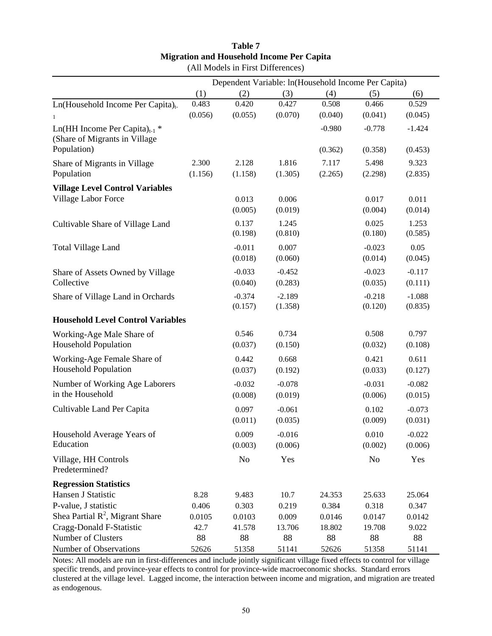| Table 7                                          |  |  |  |  |
|--------------------------------------------------|--|--|--|--|
| <b>Migration and Household Income Per Capita</b> |  |  |  |  |
| (All Models in First Differences)                |  |  |  |  |

|                                                                            |                  |                     | Dependent Variable: ln(Household Income Per Capita) |                  |                     |                     |
|----------------------------------------------------------------------------|------------------|---------------------|-----------------------------------------------------|------------------|---------------------|---------------------|
|                                                                            | (1)              | (2)                 | (3)                                                 | (4)              | (5)                 | (6)                 |
| Ln(Household Income Per Capita) <sub>t-</sub>                              | 0.483            | 0.420               | 0.427                                               | 0.508            | 0.466               | 0.529               |
|                                                                            | (0.056)          | (0.055)             | (0.070)                                             | (0.040)          | (0.041)             | (0.045)             |
| Ln(HH Income Per Capita) <sub>t-1</sub> *<br>(Share of Migrants in Village |                  |                     |                                                     | $-0.980$         | $-0.778$            | $-1.424$            |
| Population)                                                                |                  |                     |                                                     | (0.362)          | (0.358)             | (0.453)             |
| Share of Migrants in Village<br>Population                                 | 2.300<br>(1.156) | 2.128<br>(1.158)    | 1.816<br>(1.305)                                    | 7.117<br>(2.265) | 5.498<br>(2.298)    | 9.323<br>(2.835)    |
| <b>Village Level Control Variables</b>                                     |                  |                     |                                                     |                  |                     |                     |
| Village Labor Force                                                        |                  | 0.013<br>(0.005)    | 0.006<br>(0.019)                                    |                  | 0.017<br>(0.004)    | 0.011<br>(0.014)    |
| Cultivable Share of Village Land                                           |                  | 0.137<br>(0.198)    | 1.245<br>(0.810)                                    |                  | 0.025<br>(0.180)    | 1.253<br>(0.585)    |
| <b>Total Village Land</b>                                                  |                  | $-0.011$<br>(0.018) | 0.007<br>(0.060)                                    |                  | $-0.023$<br>(0.014) | 0.05<br>(0.045)     |
| Share of Assets Owned by Village                                           |                  | $-0.033$            | $-0.452$                                            |                  | $-0.023$            | $-0.117$            |
| Collective                                                                 |                  | (0.040)             | (0.283)                                             |                  | (0.035)             | (0.111)             |
| Share of Village Land in Orchards                                          |                  | $-0.374$<br>(0.157) | $-2.189$<br>(1.358)                                 |                  | $-0.218$<br>(0.120) | $-1.088$<br>(0.835) |
| <b>Household Level Control Variables</b>                                   |                  |                     |                                                     |                  |                     |                     |
| Working-Age Male Share of<br><b>Household Population</b>                   |                  | 0.546<br>(0.037)    | 0.734<br>(0.150)                                    |                  | 0.508<br>(0.032)    | 0.797<br>(0.108)    |
| Working-Age Female Share of<br><b>Household Population</b>                 |                  | 0.442<br>(0.037)    | 0.668<br>(0.192)                                    |                  | 0.421<br>(0.033)    | 0.611<br>(0.127)    |
| Number of Working Age Laborers<br>in the Household                         |                  | $-0.032$<br>(0.008) | $-0.078$<br>(0.019)                                 |                  | $-0.031$<br>(0.006) | $-0.082$<br>(0.015) |
| Cultivable Land Per Capita                                                 |                  | 0.097<br>(0.011)    | $-0.061$<br>(0.035)                                 |                  | 0.102<br>(0.009)    | $-0.073$<br>(0.031) |
| Household Average Years of<br>Education                                    |                  | 0.009<br>(0.003)    | $-0.016$<br>(0.006)                                 |                  | 0.010<br>(0.002)    | $-0.022$<br>(0.006) |
| Village, HH Controls<br>Predetermined?                                     |                  | No                  | Yes                                                 |                  | N <sub>0</sub>      | Yes                 |
| <b>Regression Statistics</b>                                               |                  |                     |                                                     |                  |                     |                     |
| Hansen J Statistic                                                         | 8.28             | 9.483               | 10.7                                                | 24.353           | 25.633              | 25.064              |
| P-value, J statistic                                                       | 0.406            | 0.303               | 0.219                                               | 0.384            | 0.318               | 0.347               |
| Shea Partial $R^2$ , Migrant Share                                         | 0.0105           | 0.0103              | 0.009                                               | 0.0146           | 0.0147              | 0.0142              |
| Cragg-Donald F-Statistic                                                   | 42.7             | 41.578              | 13.706                                              | 18.802           | 19.708              | 9.022               |
| Number of Clusters                                                         | 88               | 88                  | 88                                                  | 88               | 88                  | 88                  |
| Number of Observations                                                     | 52626            | 51358               | 51141                                               | 52626            | 51358               | 51141               |

Notes: All models are run in first-differences and include jointly significant village fixed effects to control for village specific trends, and province-year effects to control for province-wide macroeconomic shocks. Standard errors clustered at the village level. Lagged income, the interaction between income and migration, and migration are treated as endogenous.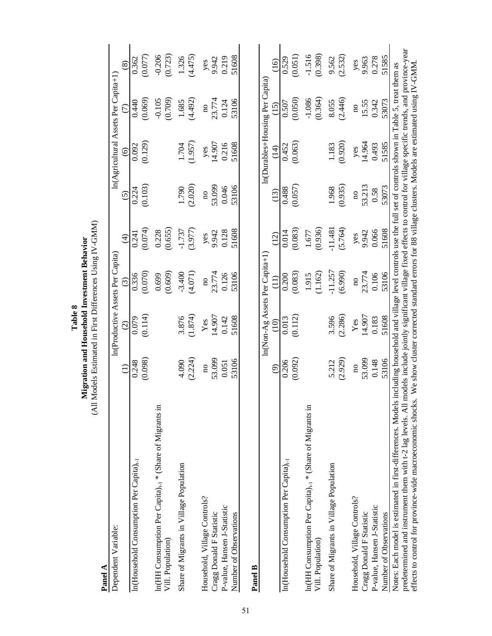| Table 8 | Migration and Household Investment Behavior | Models Estimated in First Differences Using IV-GN |
|---------|---------------------------------------------|---------------------------------------------------|
|         |                                             |                                                   |

GMM) (All Models Estimated in First Differences Using IV-GMM)  $\overline{5}$  $\mathfrak{a}$ M<br>M<br>IK)

| Panel A                                                                                   |                         |                                   |                         |                     |                                               |                            |                                      |                       |
|-------------------------------------------------------------------------------------------|-------------------------|-----------------------------------|-------------------------|---------------------|-----------------------------------------------|----------------------------|--------------------------------------|-----------------------|
| Dependent Variable:                                                                       |                         | In (Productive Assets Per Capita) |                         |                     |                                               |                            | In(Agricultural Assets Per Capita+1) |                       |
|                                                                                           | $\in$                   | $\widehat{c}$                     | $\widehat{c}$           | $\widehat{A}$       | $\tilde{S}$                                   | $\odot$                    | $\widehat{C}$                        | $\circledast$         |
| In(Household Consumption Per Capita) <sub>t-1</sub>                                       | (0.098)<br>0.248        | (0.114)                           | (0.070)<br>0.336        | (0.074)<br>0.241    | $\begin{array}{c} 0.224 \\ 0.103 \end{array}$ | (0.129)<br>0.092           | (0.069)<br>0.440                     | (0.077)<br>0.362      |
| In(HH Consumption Per Capita) <sub>t-1</sub> * (Share of Migrants in<br>Vill. Population) |                         |                                   | (0.609)<br>0.699        | (0.655)<br>0.228    |                                               |                            | (0.709)<br>$-0.105$                  | $-0.206$<br>(0.723)   |
| Share of Migrants in Village Population                                                   | (2.224)<br>4.090        | (1.874)<br>3.876                  | $-3.400$<br>(4.071)     | $-1.737$<br>(3.977) | (2.020)<br>1.790                              | (1.957)<br>1.704           | (4.492)<br>1.685                     | (4.475)<br>1.326      |
| Household, Village Controls?                                                              | $\overline{\mathbf{a}}$ | $\mathbf{Yes}$                    | $\overline{\mathbf{a}}$ | yes                 | $\overline{\mathbf{a}}$                       | yes<br>14.907              | $\overline{\mathbf{a}}$              |                       |
| P-value, Hansen J-Statistic<br>Cragg Donald F Statistic                                   | 53.099<br>0.051         | 14.907<br>0.142                   | 23.774<br>0.126         | 9.942<br>0.128      | 53.099<br>0.046                               | 0.216                      | 23.774<br>0.124                      | yes<br>9.942<br>0.219 |
| Number of Observations                                                                    | 53106                   | 51608                             | 53106                   | 51608               | 53106                                         | 51608                      | 53106                                | 51608                 |
| <b>Panel B</b>                                                                            |                         |                                   |                         |                     |                                               |                            |                                      |                       |
|                                                                                           |                         | In(Non-Ag Assets Per Capita+1)    |                         |                     |                                               |                            | In(Durables+Housing Per Capita)      |                       |
|                                                                                           | ම                       | $\widehat{\Xi}$                   |                         | (12)                | (13)                                          | $\left(\frac{4}{1}\right)$ | (15)                                 | (16)                  |
| In(Household Consumption Per Capita) <sub>t-1</sub>                                       | 0.206                   | 0.013                             | 0.200                   | 0.014               | 0.488                                         | 0.452                      | 0.507                                | 0.529                 |
|                                                                                           | (0.092)                 | (0.112)                           | (0.083)                 | (0.083)             | (0.057)                                       | (0.063)                    | (0.050)                              | (0.051)               |
| In(HH Consumption Per Capita) <sub>t-1</sub> * (Share of Migrants in                      |                         |                                   | 1.915                   | 1.677<br>(0.936)    |                                               |                            | $-1.086$                             | $-1.516$              |
| Vill. Population)                                                                         |                         |                                   | (1.162)                 |                     |                                               |                            | (0.364)                              | (0.398)               |
| Share of Migrants in Village Population                                                   | 5.212                   | 3.596                             | $-11.257$               | $-11.481$           | 1.968                                         | 1.183                      | 8.055                                | 9.562                 |

predetermined and instrument them with t-2 lag levels. All models include jointly significant village fixed effects to control for village specific trends, and province-year<br>effects to control for province-wide macroeconom predetermined and instrument them with t-2 lag levels. All models include jointly significant village fixed effects to control for village specific trends, and province-year effects to control for province-wide macroeconomic shocks. We show cluster corrected standard errors for 88 village clusters. Models are estimated using IV-GMM. Notes: Each model is estimated in first-differences. Models including household and village level controls use the full set of controls shown in Table 5, treat them as Notes: Each model is estimated in first-differences. Models including household and village level controls use the full set of controls shown in Table 5, treat them as

 $(2.286)$ 

 $(2.929)$ 

Household, Village Controls? no yes no yes yes no yes yes yes no yes yes yes yes yes no yes yes yes no yes and  $\alpha$ Cragg Donald F Statistic  $14.942$   $14.959$   $14.959$   $14.959$   $15.574$   $23.774$   $29.963$   $242$   $25.95$ P-value, Hansen J-Statistic 0.148 0.066 0.066 0.066 0.066 0.0710 0.343 0.278 0.278 Number of Observations 53106 53106 51608 53106 51608 53073 51585 51585 51585 51585

 $Yes$ 

 $\overline{\mathbf{n}}$ 

Household, Village Controls?

P-value, Hansen J-Statistic Cragg Donald F Statistic

Number of Observations

14.907 0.183

53.099

(2.532) (2.929) (2.926) (5.926) (5.926) (1.592) (0.920) (2.592) (2.532) (2.532)

 $(5.764)$ 

 $(6.990)$ 

 $(0.935)$ 

 $(2.532)$ 

 $(2.446)$ 

 $(0.920)$ 

yes<br>9.963 0.278 51585

53073

51585

53073 0.58

51608

53106 0.106

51608

53106

0.148

15.55<br>0.342  $\overline{\mathbf{a}}$ 

> 14.964 0.493

53.213

yes<br>9.942 0.066

23.774

 $\rm ^{10}$ 

 $\overline{\mathbf{n}}$ 

yes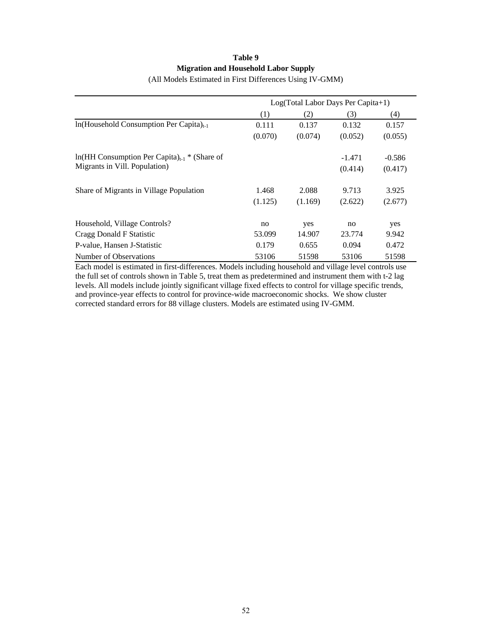## **Table 9 Migration and Household Labor Supply**

|                                                            |         |         | Log(Total Labor Days Per Capita+1) |          |
|------------------------------------------------------------|---------|---------|------------------------------------|----------|
|                                                            | (1)     | (2)     | (3)                                | (4)      |
| $ln(Household$ Consumption Per Capita) <sub>t-1</sub>      | 0.111   | 0.137   | 0.132                              | 0.157    |
|                                                            | (0.070) | (0.074) | (0.052)                            | (0.055)  |
| $ln(HH$ Consumption Per Capita) <sub>t-1</sub> * (Share of |         |         | $-1.471$                           | $-0.586$ |
| Migrants in Vill. Population)                              |         |         | (0.414)                            | (0.417)  |
| Share of Migrants in Village Population                    | 1.468   | 2.088   | 9.713                              | 3.925    |
|                                                            | (1.125) | (1.169) | (2.622)                            | (2.677)  |
| Household, Village Controls?                               | no      | yes     | no                                 | yes      |
| Cragg Donald F Statistic                                   | 53.099  | 14.907  | 23.774                             | 9.942    |
| P-value, Hansen J-Statistic                                | 0.179   | 0.655   | 0.094                              | 0.472    |
| Number of Observations                                     | 53106   | 51598   | 53106                              | 51598    |

(All Models Estimated in First Differences Using IV-GMM)

Each model is estimated in first-differences. Models including household and village level controls use the full set of controls shown in Table 5, treat them as predetermined and instrument them with t-2 lag levels. All models include jointly significant village fixed effects to control for village specific trends, and province-year effects to control for province-wide macroeconomic shocks. We show cluster corrected standard errors for 88 village clusters. Models are estimated using IV-GMM.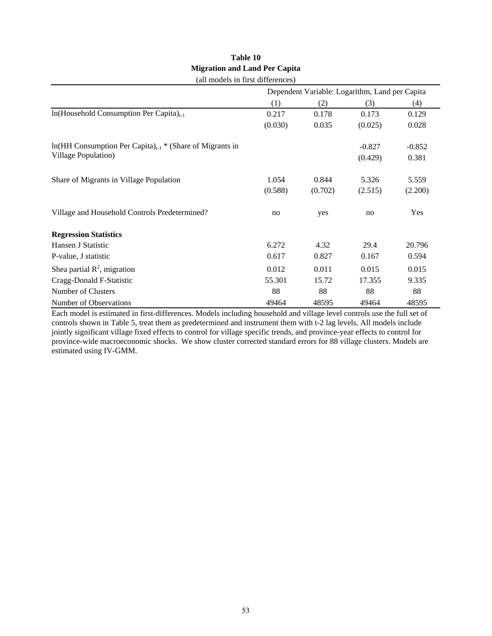| (all models in first differences)                                      |         |         |                                                |          |  |  |  |  |
|------------------------------------------------------------------------|---------|---------|------------------------------------------------|----------|--|--|--|--|
|                                                                        |         |         | Dependent Variable: Logarithm, Land per Capita |          |  |  |  |  |
|                                                                        | (1)     | (2)     | (3)                                            | (4)      |  |  |  |  |
| $ln(Household$ Consumption Per Capita) <sub>t-1</sub>                  | 0.217   | 0.178   | 0.173                                          | 0.129    |  |  |  |  |
|                                                                        | (0.030) | 0.035   | (0.025)                                        | 0.028    |  |  |  |  |
| $ln(HH$ Consumption Per Capita) <sub>t-1</sub> * (Share of Migrants in |         |         | $-0.827$                                       | $-0.852$ |  |  |  |  |
| Village Population)                                                    |         |         | (0.429)                                        | 0.381    |  |  |  |  |
| Share of Migrants in Village Population                                | 1.054   | 0.844   | 5.326                                          | 5.559    |  |  |  |  |
|                                                                        | (0.588) | (0.702) | (2.515)                                        | (2.200)  |  |  |  |  |
| Village and Household Controls Predetermined?                          | no      | yes     | no                                             | Yes      |  |  |  |  |
| <b>Regression Statistics</b>                                           |         |         |                                                |          |  |  |  |  |
| Hansen J Statistic                                                     | 6.272   | 4.32    | 29.4                                           | 20.796   |  |  |  |  |
| P-value, J statistic                                                   | 0.617   | 0.827   | 0.167                                          | 0.594    |  |  |  |  |
| Shea partial $\mathbb{R}^2$ , migration                                | 0.012   | 0.011   | 0.015                                          | 0.015    |  |  |  |  |
| Cragg-Donald F-Statistic                                               | 55.301  | 15.72   | 17.355                                         | 9.335    |  |  |  |  |
| Number of Clusters                                                     | 88      | 88      | 88                                             | 88       |  |  |  |  |
| Number of Observations                                                 | 49464   | 48595   | 49464                                          | 48595    |  |  |  |  |

### **Table 10 Migration and Land Per Capita**   $\left( \text{all models in frontal} \right)$

Each model is estimated in first-differences. Models including household and village level controls use the full set of controls shown in Table 5, treat them as predetermined and instrument them with t-2 lag levels. All models include jointly significant village fixed effects to control for village specific trends, and province-year effects to control for province-wide macroeconomic shocks. We show cluster corrected standard errors for 88 village clusters. Models are estimated using IV-GMM.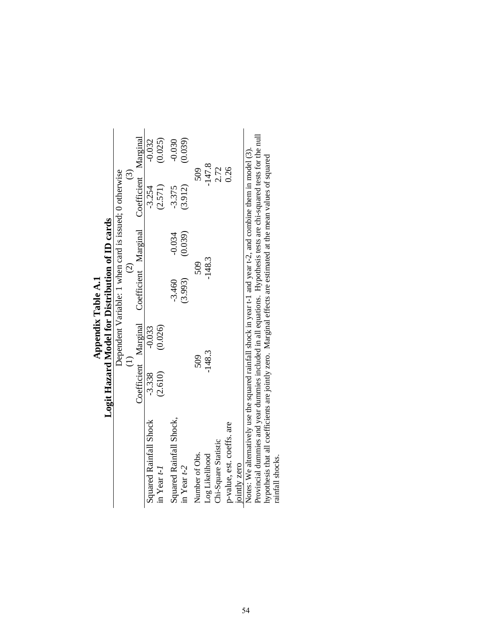|                                                                                                                    | Logit Hazard Model for Distribution of ID cards |          |                                                        |          |                      |          |
|--------------------------------------------------------------------------------------------------------------------|-------------------------------------------------|----------|--------------------------------------------------------|----------|----------------------|----------|
|                                                                                                                    |                                                 |          | Dependent Variable: 1 when card is issued; 0 otherwise |          |                      |          |
|                                                                                                                    |                                                 |          | $\widehat{c}$                                          |          | ධ                    |          |
|                                                                                                                    |                                                 |          | Coefficient Marginal Coefficient Marginal              |          | Coefficient Marginal |          |
| <b>Squared Rainfall Shock</b>                                                                                      | $-3.338$                                        | $-0.033$ |                                                        |          | $-3.254$             | $-0.032$ |
| in Year $t-1$                                                                                                      | (2.610)                                         | (0.026)  |                                                        |          | (2.571)              | (0.025)  |
| Squared Rainfall Shock,                                                                                            |                                                 |          | $-3.460$                                               | $-0.034$ | $-3.375$             | $-0.030$ |
| in Year $t-2$                                                                                                      |                                                 |          | (3.993)                                                | (0.039)  | (3.912)              | (0.039)  |
| Number of Obs.                                                                                                     | 509                                             |          | 509                                                    |          | 509                  |          |
| Log Likelihood                                                                                                     | $-148.3$                                        |          | $-148.3$                                               |          | $-147.8$             |          |
| Chi-Square Statistic                                                                                               |                                                 |          |                                                        |          | 2.72                 |          |
| p-value, est. coeffs. are                                                                                          |                                                 |          |                                                        |          | 0.26                 |          |
| jointly zero                                                                                                       |                                                 |          |                                                        |          |                      |          |
| Notes: We alternatively use the squared rainfall shock in year t-1 and year t-2, and combine them in model (3).    |                                                 |          |                                                        |          |                      |          |
| Provincial dummies and year dummies included in all equations. Hypothesis tests are chi-squared tests for the null |                                                 |          |                                                        |          |                      |          |
| hypothesis that all coefficients are jointly zero. Marginal effects are estimated at the mean values of squared    |                                                 |          |                                                        |          |                      |          |
| rainfall shocks.                                                                                                   |                                                 |          |                                                        |          |                      |          |

Appendix Table A.1 **Appendix Table A.1**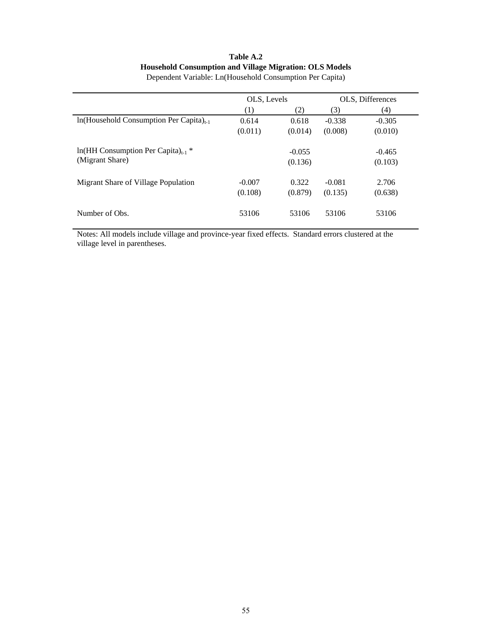## **Table A.2 Household Consumption and Village Migration: OLS Models**

|                                                  | OLS, Levels |          |          | OLS, Differences |
|--------------------------------------------------|-------------|----------|----------|------------------|
|                                                  | (1)         | (2)      | (3)      | (4)              |
| $ln(Household Consumption Per Capita)_{t-1}$     | 0.614       | 0.618    | $-0.338$ | $-0.305$         |
|                                                  | (0.011)     | (0.014)  | (0.008)  | (0.010)          |
| $ln(HH$ Consumption Per Capita) <sub>t-1</sub> * |             | $-0.055$ |          | $-0.465$         |
| (Migrant Share)                                  |             | (0.136)  |          | (0.103)          |
| Migrant Share of Village Population              | $-0.007$    | 0.322    | $-0.081$ | 2.706            |
|                                                  | (0.108)     | (0.879)  | (0.135)  | (0.638)          |
| Number of Obs.                                   | 53106       | 53106    | 53106    | 53106            |

Dependent Variable: Ln(Household Consumption Per Capita)

Notes: All models include village and province-year fixed effects. Standard errors clustered at the village level in parentheses.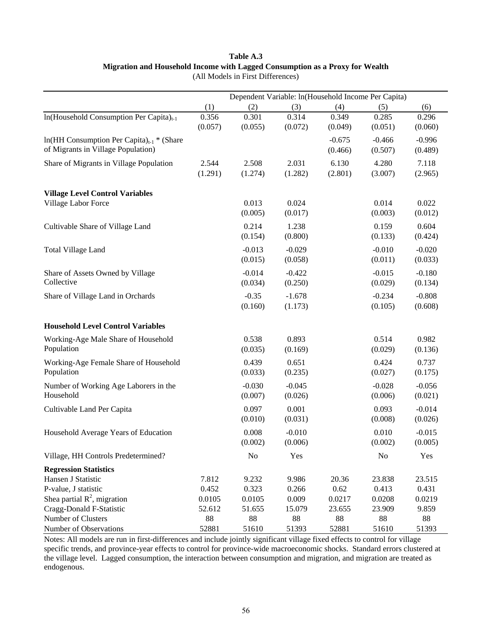## **Table A.3 Migration and Household Income with Lagged Consumption as a Proxy for Wealth**  (All Models in First Differences)

|                                                         |         | Dependent Variable: ln(Household Income Per Capita) |          |          |                |          |
|---------------------------------------------------------|---------|-----------------------------------------------------|----------|----------|----------------|----------|
|                                                         | (1)     | (2)                                                 | (3)      | (4)      | (5)            | (6)      |
| In(Household Consumption Per Capita) <sub>t-1</sub>     | 0.356   | 0.301                                               | 0.314    | 0.349    | 0.285          | 0.296    |
|                                                         | (0.057) | (0.055)                                             | (0.072)  | (0.049)  | (0.051)        | (0.060)  |
| $ln(HH$ Consumption Per Capita) <sub>t-1</sub> * (Share |         |                                                     |          | $-0.675$ | $-0.466$       | $-0.996$ |
| of Migrants in Village Population)                      |         |                                                     |          | (0.466)  | (0.507)        | (0.489)  |
| Share of Migrants in Village Population                 | 2.544   | 2.508                                               | 2.031    | 6.130    | 4.280          | 7.118    |
|                                                         | (1.291) | (1.274)                                             | (1.282)  | (2.801)  | (3.007)        | (2.965)  |
|                                                         |         |                                                     |          |          |                |          |
| <b>Village Level Control Variables</b>                  |         |                                                     |          |          |                |          |
| Village Labor Force                                     |         | 0.013                                               | 0.024    |          | 0.014          | 0.022    |
|                                                         |         | (0.005)                                             | (0.017)  |          | (0.003)        | (0.012)  |
| Cultivable Share of Village Land                        |         | 0.214                                               | 1.238    |          | 0.159          | 0.604    |
|                                                         |         | (0.154)                                             | (0.800)  |          | (0.133)        | (0.424)  |
| <b>Total Village Land</b>                               |         | $-0.013$                                            | $-0.029$ |          | $-0.010$       | $-0.020$ |
|                                                         |         | (0.015)                                             | (0.058)  |          | (0.011)        | (0.033)  |
| Share of Assets Owned by Village                        |         | $-0.014$                                            | $-0.422$ |          | $-0.015$       | $-0.180$ |
| Collective                                              |         | (0.034)                                             | (0.250)  |          | (0.029)        | (0.134)  |
| Share of Village Land in Orchards                       |         | $-0.35$                                             | $-1.678$ |          | $-0.234$       | $-0.808$ |
|                                                         |         | (0.160)                                             | (1.173)  |          | (0.105)        | (0.608)  |
|                                                         |         |                                                     |          |          |                |          |
| <b>Household Level Control Variables</b>                |         |                                                     |          |          |                |          |
| Working-Age Male Share of Household                     |         | 0.538                                               | 0.893    |          | 0.514          | 0.982    |
| Population                                              |         | (0.035)                                             | (0.169)  |          | (0.029)        | (0.136)  |
| Working-Age Female Share of Household                   |         | 0.439                                               | 0.651    |          | 0.424          | 0.737    |
| Population                                              |         | (0.033)                                             | (0.235)  |          | (0.027)        | (0.175)  |
| Number of Working Age Laborers in the                   |         | $-0.030$                                            | $-0.045$ |          | $-0.028$       | $-0.056$ |
| Household                                               |         | (0.007)                                             | (0.026)  |          | (0.006)        | (0.021)  |
| Cultivable Land Per Capita                              |         | 0.097                                               | 0.001    |          | 0.093          | $-0.014$ |
|                                                         |         | (0.010)                                             | (0.031)  |          | (0.008)        | (0.026)  |
| Household Average Years of Education                    |         | 0.008                                               | $-0.010$ |          | 0.010          | $-0.015$ |
|                                                         |         | (0.002)                                             | (0.006)  |          | (0.002)        | (0.005)  |
| Village, HH Controls Predetermined?                     |         | No                                                  | Yes      |          | N <sub>0</sub> | Yes      |
|                                                         |         |                                                     |          |          |                |          |
| <b>Regression Statistics</b><br>Hansen J Statistic      | 7.812   | 9.232                                               | 9.986    | 20.36    | 23.838         | 23.515   |
| P-value, J statistic                                    | 0.452   | 0.323                                               | 0.266    | 0.62     | 0.413          | 0.431    |
| Shea partial $R^2$ , migration                          | 0.0105  | 0.0105                                              | 0.009    | 0.0217   | 0.0208         | 0.0219   |
| Cragg-Donald F-Statistic                                | 52.612  | 51.655                                              | 15.079   | 23.655   | 23.909         | 9.859    |
| Number of Clusters                                      | 88      | $88\,$                                              | $88\,$   | 88       | 88             | 88       |
| Number of Observations                                  | 52881   | 51610                                               | 51393    | 52881    | 51610          | 51393    |

Notes: All models are run in first-differences and include jointly significant village fixed effects to control for village specific trends, and province-year effects to control for province-wide macroeconomic shocks. Standard errors clustered at the village level. Lagged consumption, the interaction between consumption and migration, and migration are treated as endogenous.